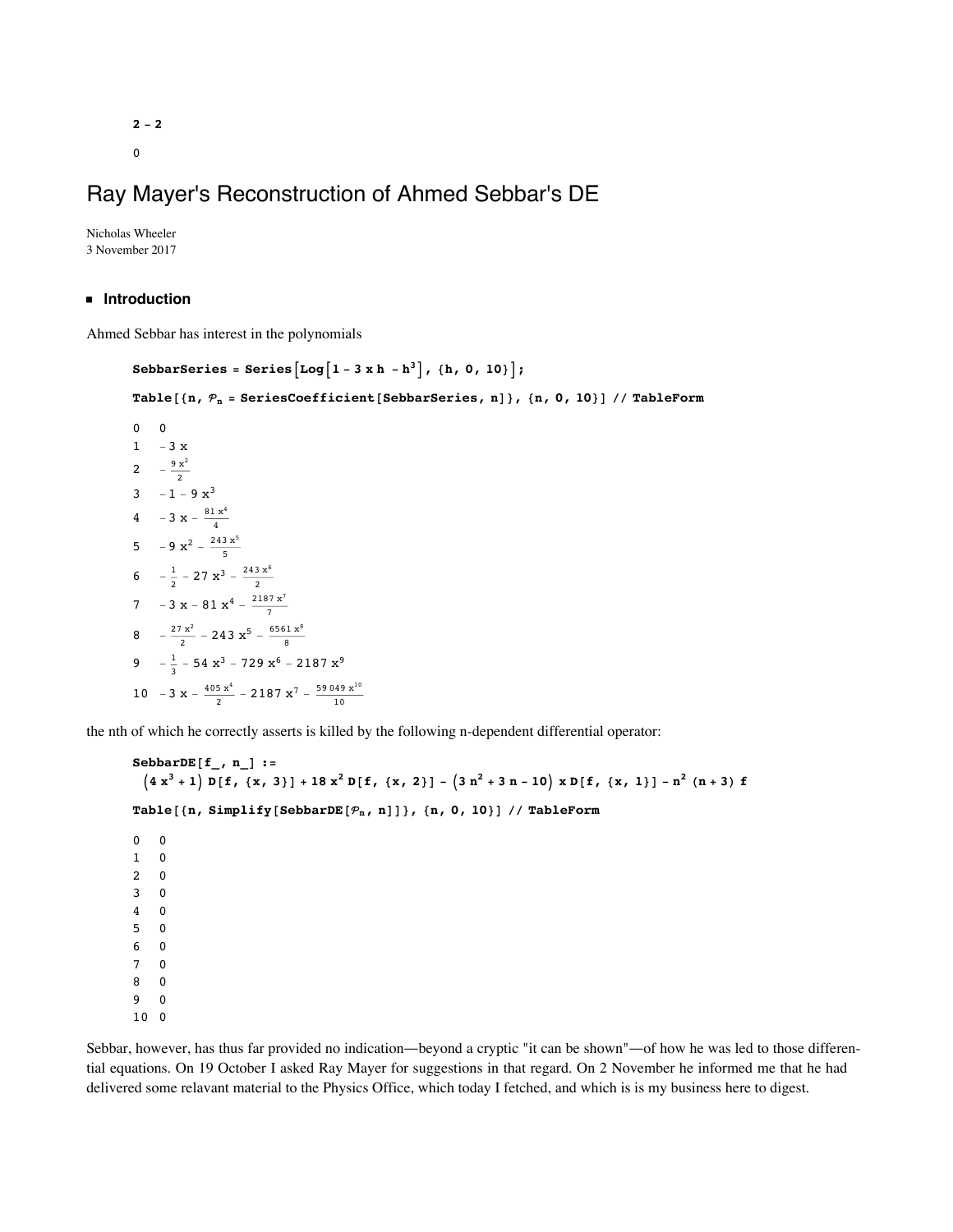# Ray Mayer's Reconstruction of Ahmed Sebbar's DE

Nicholas Wheeler 3 November 2017

#### **ü Introduction**

Ahmed Sebbar has interest in the polynomials

```
SebbarSeries = Series \left[\text{Log}\left[1-3 \times h - h^3\right], \{h, 0, 10\}\right];
Table@8n, n = SeriesCoefficient@SebbarSeries, nD<, 8n, 0, 10<D êê TableForm
0 0
1 - 3 x2 -\frac{9 x^2}{2}3 -1 - 9x<sup>3</sup>4 - 3 x - \frac{81 x^4}{4}5 -9 \times^2 - \frac{243 \times^5}{5}6 -\frac{1}{2} – 27 \mathbf{x}^3 – \frac{243 \mathbf{x}^6}{2}7 - 3 x - 81 x<sup>4</sup> - \frac{2187 x^7}{7}8 - \frac{27 x^2}{2} - 243 x^5 - \frac{6561 x^8}{8}9 -\frac{1}{3} – 54 x<sup>3</sup> – 729 x<sup>6</sup> – 2187 x<sup>9</sup>
10 -3 \times -\frac{405 \times 4}{2} - 2187 \times 7 - \frac{59049 \times 10}{10}
```
the nth of which he correctly asserts is killed by the following n-dependent differential operator:

```
{\bf SebbarDE}[f<sub>_</sub>, n<sub>_</sub>] :=
  (4x<sup>3</sup>+1) D[f, {x, 3}] + 18x<sup>2</sup> D[f, {x, 2}] - (3n<sup>2</sup>+3n-10) x D[f, {x, 1}] - n<sup>2</sup> (n+3) fTable@8n, Simplify@SebbarDE@n, nDD<, 8n, 0, 10<D êê TableForm
0 0
1 0
2 0
3 0
4 0
5 0
6 0
7 0
8 0
9 0
```
10 0

**ü Ray's preparatory exercise**

Sebbar, however, has thus far provided no indication—beyond a cryptic "it can be shown"—of how he was led to those differential equations. On 19 October I asked Ray Mayer for suggestions in that regard. On 2 November he informed me that he had delivered some relavant material to the Physics Office, which today I fetched, and which is is my business here to digest.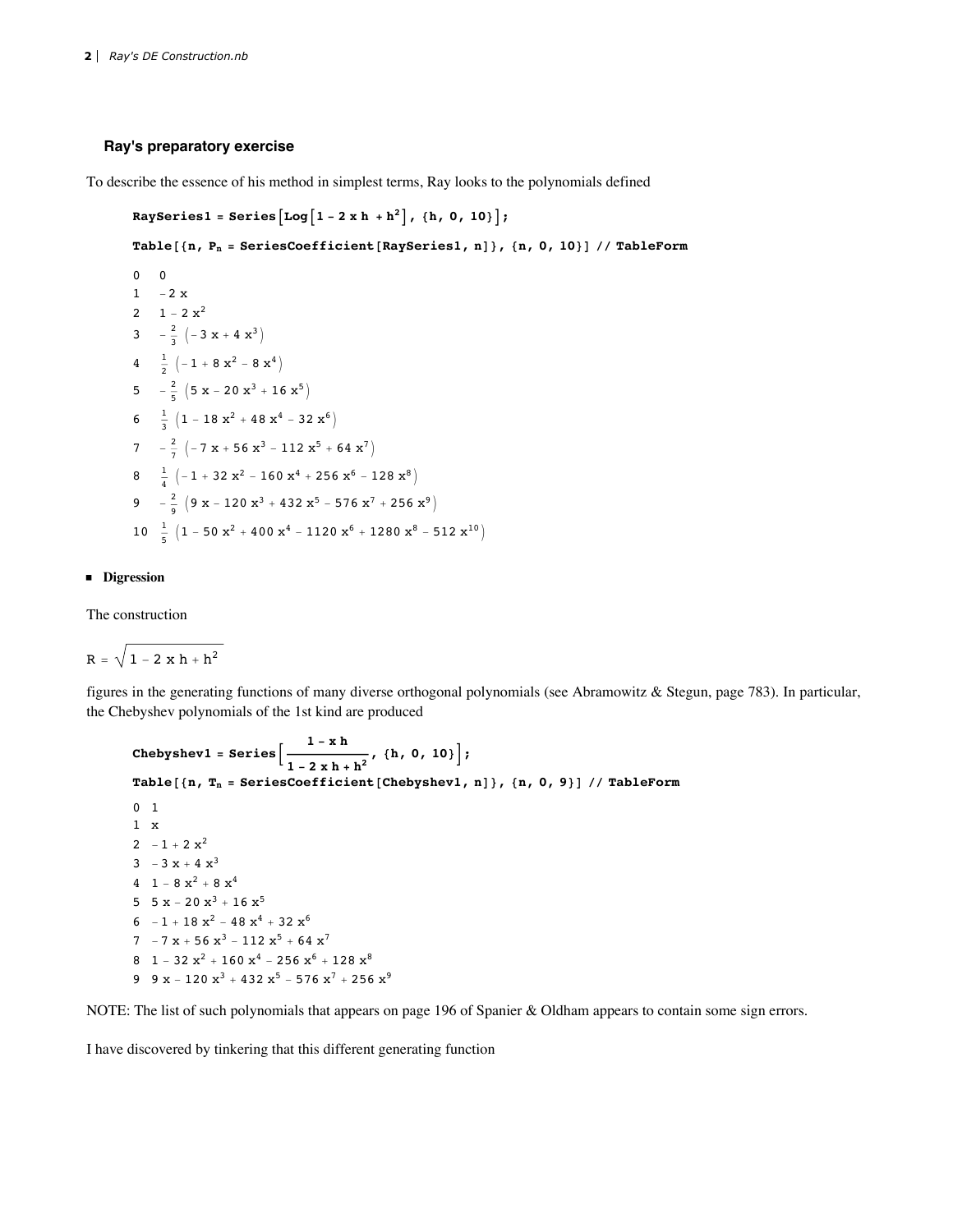#### **Ray's preparatory exercise**

To describe the essence of his method in simplest terms, Ray looks to the polynomials defined

```
\text{RaySeries1} = \text{Series}\left[\text{Log}\left[1-2 \times h + h^2\right], \{h, 0, 10\}\right]
```
**Table@8n, Pn = SeriesCoefficient@RaySeries1, nD<, 8n, 0, 10<D êê TableForm**

```
0 0
1 -2 x2 1 - 2x^23 -\frac{2}{3} \left(-3 \times + 4 \times^3\right)4 \frac{1}{2} \left(-1 + 8 \times^2 - 8 \times^4\right)5 -\frac{2}{5} (5 \times -20 \times^3 + 16 \times^5)6 \frac{1}{3} \left(1 - 18 \times^2 + 48 \times^4 - 32 \times^6\right)7 -\frac{2}{7} \left(-7 \times + 56 \times^3 - 112 \times^5 + 64 \times^7\right)8 \frac{1}{4} \left(-1+32 \times^2-160 \times^4+256 \times^6-128 \times^8\right)9 -\frac{2}{9} \left(9 \times -120 \times^3 + 432 \times^5 - 576 \times^7 + 256 \times^9\right)10 \frac{1}{5} \left(1 - 50 \frac{x^2}{4} + 400 \frac{x^4}{4} - 1120 \frac{x^6}{4} + 1280 \frac{x^8}{4} - 512 \frac{x^{10}}{4} \right)
```
#### **ü Digression**

**ü**

The construction

 $R = \sqrt{1 - 2 x h + h^2}$ 

figures in the generating functions of many diverse orthogonal polynomials (see Abramowitz & Stegun, page 783). In particular, the Chebyshev polynomials of the 1st kind are produced

```
\texttt{Chebyshev1 = Series} \Big[ \frac{1 - \texttt{x} \texttt{h}}{1 - \texttt{v}} \Big]\left[ \frac{1-2xh+h^2}{h^2}, \frac{\{h, 0, 10\}}{h^2} \right];Table@8n, Tn = SeriesCoefficient@Chebyshev1, nD<, 8n, 0, 9<D êê TableForm
0 1
1 x
2 -1 + 2 x^23 -3x + 4x^34 1 - 8 x^2 + 8 x^45 5 x - 20 x^3 + 16 x^56 -1 + 18 x^2 - 48 x^4 + 32 x^67 -7 x + 56 x^3 - 112 x^5 + 64 x^78 1 - 32 x^2 + 160 x^4 - 256 x^6 + 128 x^89 9 x - 120 x^3 + 432 x^5 - 576 x^7 + 256 x^9
```
NOTE: The list of such polynomials that appears on page 196 of Spanier & Oldham appears to contain some sign errors.

I have discovered by tinkering that this different generating function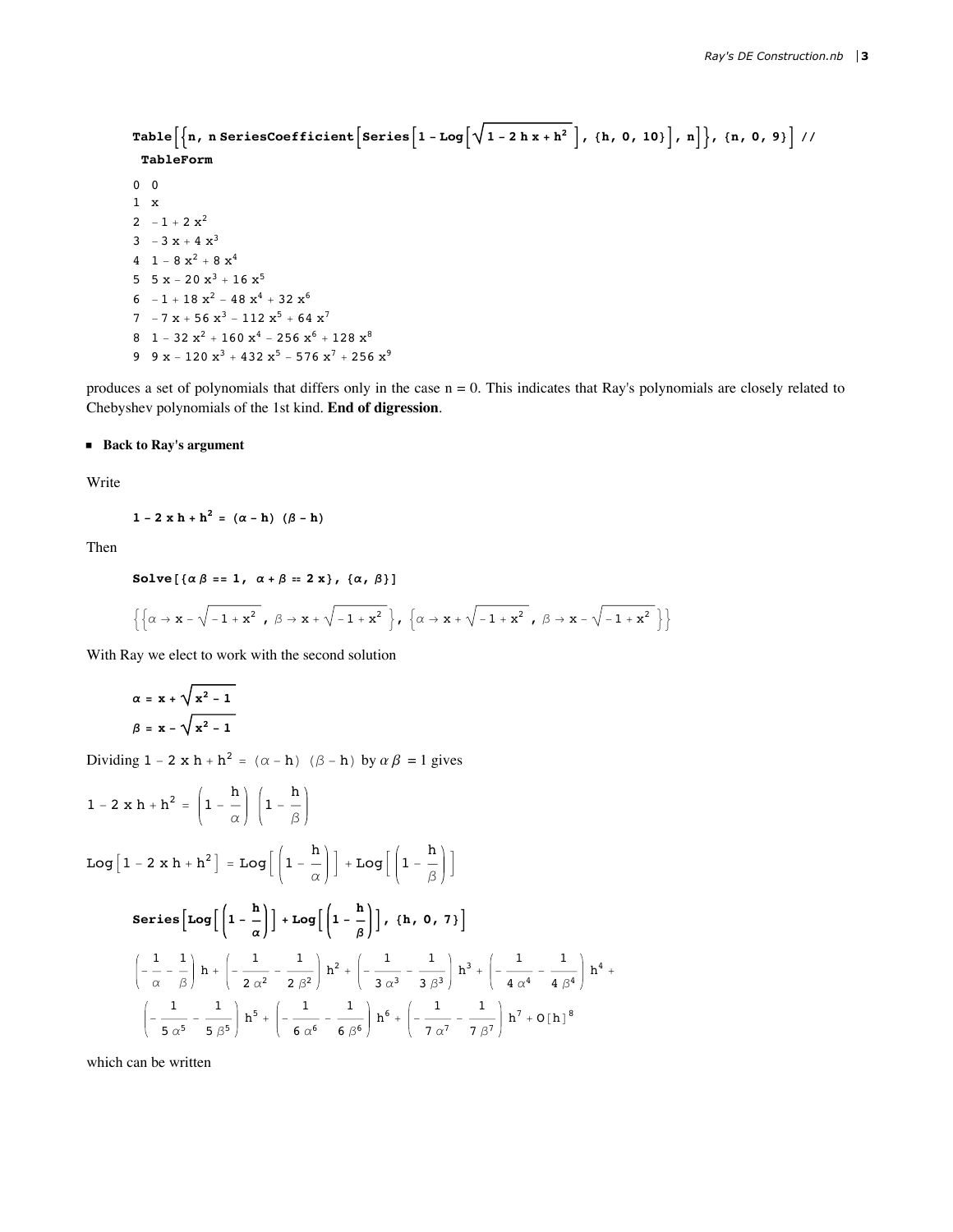```
Table \left[\left\{n, n \text{ SeriesCoefficient}\left[\text{Series}\left[1-\text{Log}\left[\sqrt{1-2 h x+h^2}\right], \{h, 0, 10\}\right], n\right]\right\}, \{n, 0, 9\}\right]//
 TableForm
0\quad 01 \times2 - 1 + 2x^23 -3x + 4x^34 1 - 8 x^2 + 8 x^45 5x - 20x^3 + 16x^56 -1 + 18x^2 - 48x^4 + 32x^67 -7x + 56x^3 - 112x^5 + 64x^78 1 - 32 x^2 + 160 x^4 - 256 x^6 + 128 x^89 9 x - 120 x<sup>3</sup> + 432 x<sup>5</sup> - 576 x<sup>7</sup> + 256 x<sup>9</sup>
```
produces a set of polynomials that differs only in the case  $n = 0$ . This indicates that Ray's polynomials are closely related to Chebyshev polynomials of the 1st kind. End of digression.

## **Back to Ray's argument**

Write

$$
1 - 2 \times h + h^2 = (\alpha - h) (\beta - h)
$$

Then

Solve 
$$
[\{\alpha \beta = 1, \alpha + \beta = 2 \times\}, \{\alpha, \beta\}]
$$
  
 $\left\{\left\{\alpha \rightarrow x - \sqrt{-1 + x^2}, \beta \rightarrow x + \sqrt{-1 + x^2}\right\}, \left\{\alpha \rightarrow x + \sqrt{-1 + x^2}, \beta \rightarrow x - \sqrt{-1 + x^2}\right\}\right\}$ 

With Ray we elect to work with the second solution

$$
\alpha = x + \sqrt{x^2 - 1}
$$

$$
\beta = x - \sqrt{x^2 - 1}
$$

Dividing  $1 - 2 \times h + h^2 = (\alpha - h) (\beta - h)$  by  $\alpha \beta = 1$  gives

$$
1 - 2 \times h + h^{2} = \left(1 - \frac{h}{\alpha}\right) \left(1 - \frac{h}{\beta}\right)
$$
  
\n
$$
Log\left[1 - 2 \times h + h^{2}\right] = Log\left[\left(1 - \frac{h}{\alpha}\right)\right] + Log\left[\left(1 - \frac{h}{\beta}\right)\right]
$$
  
\n
$$
Series\left[Log\left[\left(1 - \frac{h}{\alpha}\right)\right] + Log\left[\left(1 - \frac{h}{\beta}\right)\right], \{h, 0, 7\}\right]
$$
  
\n
$$
\left(-\frac{1}{\alpha} - \frac{1}{\beta}\right)h + \left(-\frac{1}{2\alpha^{2}} - \frac{1}{2\beta^{2}}\right)h^{2} + \left(-\frac{1}{3\alpha^{3}} - \frac{1}{3\beta^{3}}\right)h^{3} + \left(-\frac{1}{4\alpha^{4}} - \frac{1}{4\beta^{4}}\right)h^{4} - \left(-\frac{1}{5\alpha^{5}} - \frac{1}{5\beta^{5}}\right)h^{5} + \left(-\frac{1}{6\alpha^{6}} - \frac{1}{6\beta^{6}}\right)h^{6} + \left(-\frac{1}{7\alpha^{7}} - \frac{1}{7\beta^{7}}\right)h^{7} + O[h]^{8}
$$

which can be written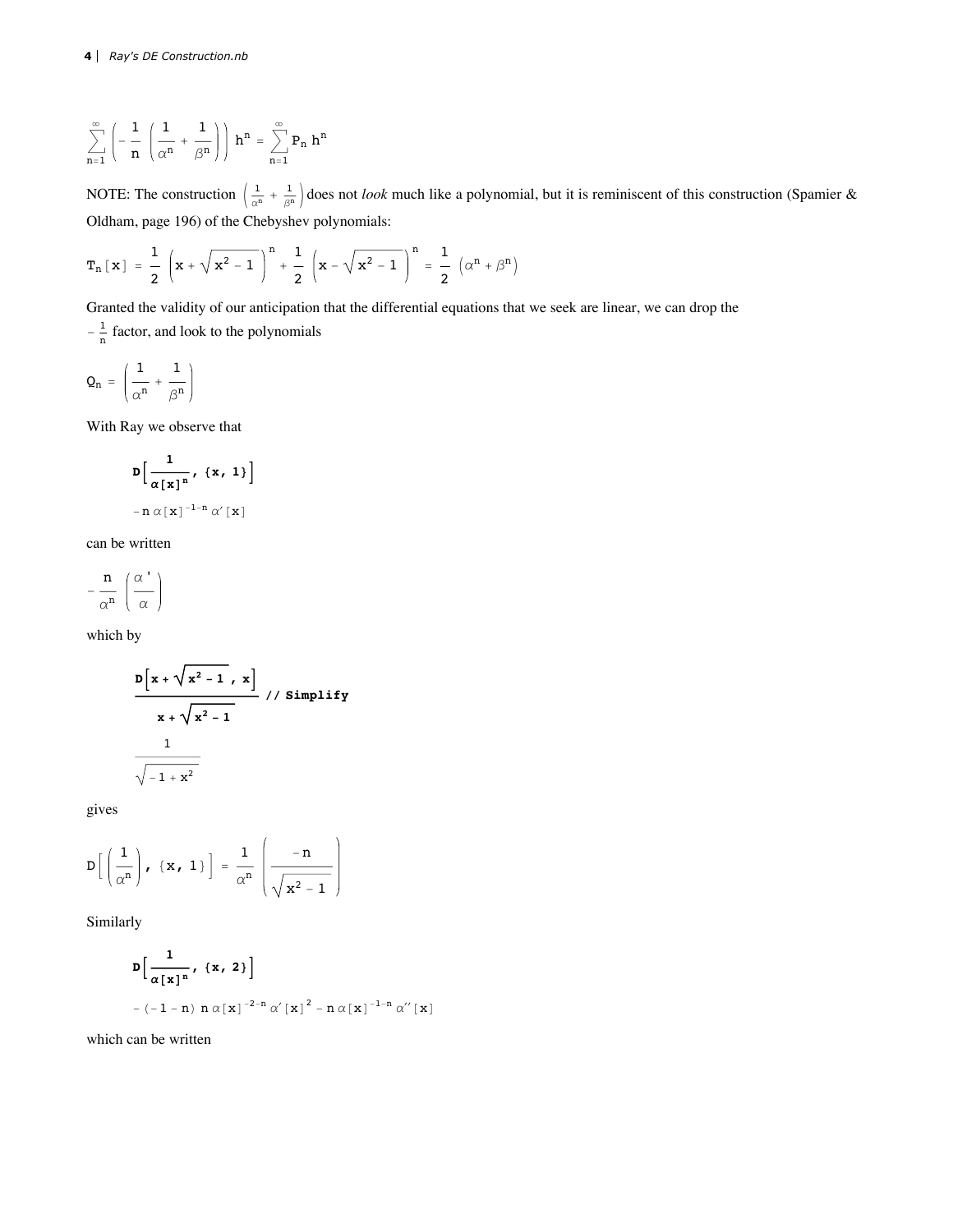$$
\sum_{n=1}^{\infty} \left( -\frac{1}{n} \left( \frac{1}{\alpha^n} + \frac{1}{\beta^n} \right) \right) h^n = \sum_{n=1}^{\infty} P_n h^n
$$

NOTE: The construction  $\left(\frac{1}{\alpha^n} + \frac{1}{\beta^n}\right)$  does not *look* much like a polynomial, but it is reminiscent of this construction (Spamier & Oldham, page 196) of the Chebyshev polynomials:

$$
T_n\left[\,x\,\right]\; =\; \frac{1}{2}\;\left(\,x+\sqrt{\,x^2-1}\,\,\right)^n +\; \frac{1}{2}\;\left(\,x-\sqrt{\,x^2-1}\,\,\right)^n \; =\; \frac{1}{2}\;\left(\,\alpha^n + \beta^n\,\right)
$$

Granted the validity of our anticipation that the differential equations that we seek are linear, we can drop the

 $-\frac{1}{n}$  factor, and look to the polynomials

$$
Q_n\ =\ \left(\frac{1}{\alpha^n}\,+\,\frac{1}{\beta^n}\right)
$$

With Ray we observe that

$$
D\left[\frac{1}{\alpha[x]^n}, \{x, 1\}\right]
$$
  
-n $\alpha[x]^{-1-n}\alpha'[x]$ 

can be written

$$
-\,\frac{n}{\alpha^n}\,\left(\frac{\alpha\, }{\alpha}\right)
$$

which by

$$
\frac{D[x + \sqrt{x^2 - 1}, x]}{x + \sqrt{x^2 - 1}}
$$
 // Simplify

gives

$$
D\left[\left(\frac{1}{\alpha^n}\right), \ \{x, 1\}\right] = \frac{1}{\alpha^n} \left(\frac{-n}{\sqrt{x^2 - 1}}\right)
$$

Similarly

$$
D\left[\frac{1}{\alpha [x]^{n}}, \{x, 2\}\right]
$$
  
- (-1 - n)  $n \alpha [x]^{-2-n} \alpha' [x]^{2} - n \alpha [x]^{-1-n} \alpha'' [x]$ 

which can be written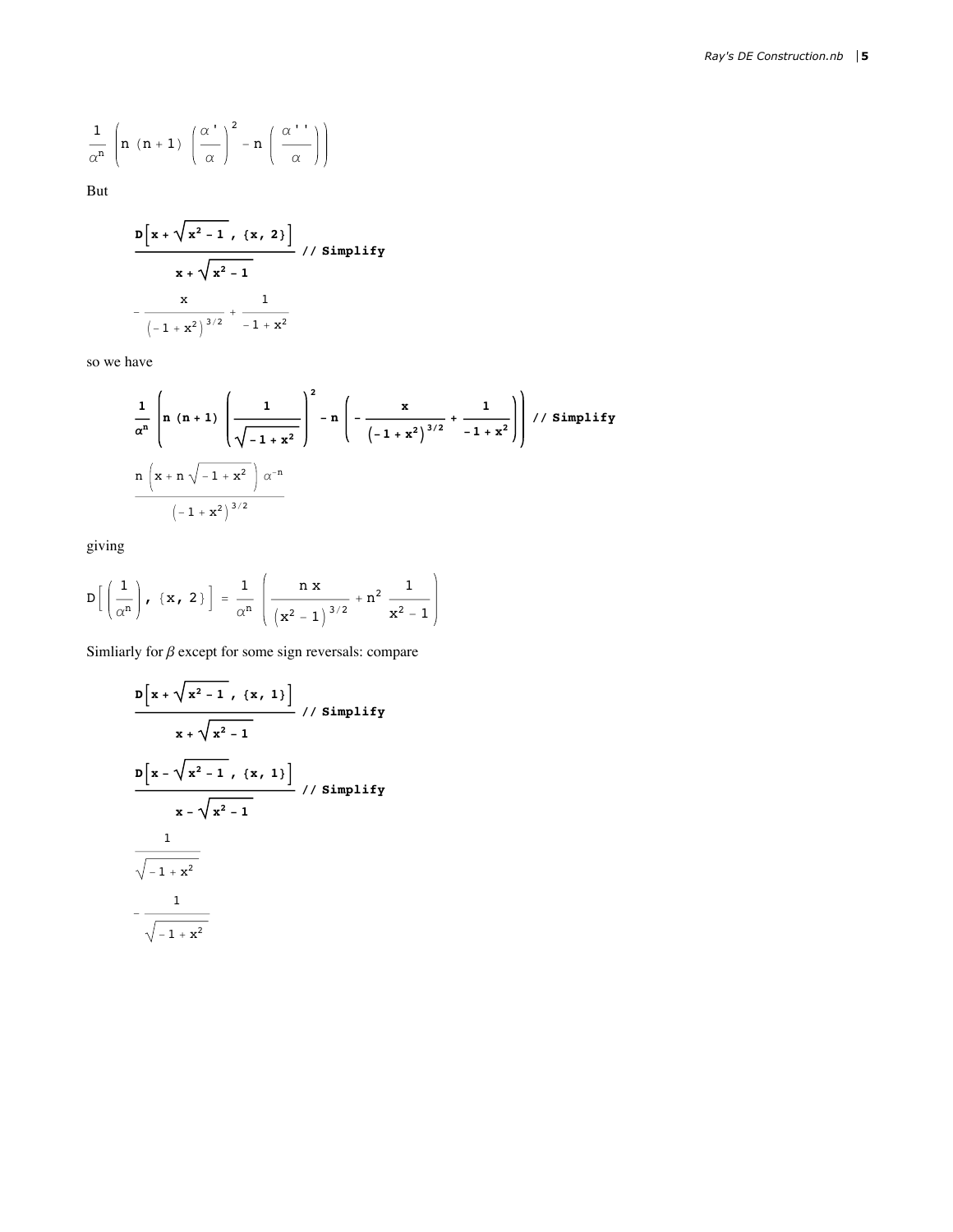$$
\frac{1}{\alpha^n}\,\left(n\ \, (n+1)\ \, \left(\frac{\alpha}{\alpha}\right)^2-n\,\left(\frac{\alpha}{\alpha}\right)^n\right)
$$

But

$$
\frac{D[x + \sqrt{x^2 - 1}, \{x, 2\}]}{x + \sqrt{x^2 - 1}} \frac{7}{\left(1 + x^2\right)^{3/2}} + \frac{1}{-1 + x^2}
$$

so we have

$$
\frac{1}{\alpha^{n}} \left( n (n+1) \left( \frac{1}{\sqrt{-1+x^{2}}} \right)^{2} - n \left( - \frac{x}{(-1+x^{2})^{3/2}} + \frac{1}{-1+x^{2}} \right) \right) / / \text{Simplify}
$$
\n
$$
\frac{n (x + n \sqrt{-1+x^{2}})}{(-1+x^{2})^{3/2}}
$$

giving

$$
D\left[\left(\frac{1}{\alpha^{n}}\right), \ \{x, \ 2\}\right] = \frac{1}{\alpha^{n}} \left(\frac{n x}{\left(x^{2} - 1\right)^{3/2}} + n^{2} \frac{1}{x^{2} - 1}\right)
$$

Simliarly for  $\beta$  except for some sign reversals: compare

$$
\frac{D[x + \sqrt{x^{2} - 1}, \{x, 1\}]}{x + \sqrt{x^{2} - 1}}
$$
 // Simplify  
\n
$$
\frac{D[x - \sqrt{x^{2} - 1}, \{x, 1\}]}{x - \sqrt{x^{2} - 1}}
$$
 // Simplify  
\n
$$
\frac{1}{\sqrt{-1 + x^{2}}}
$$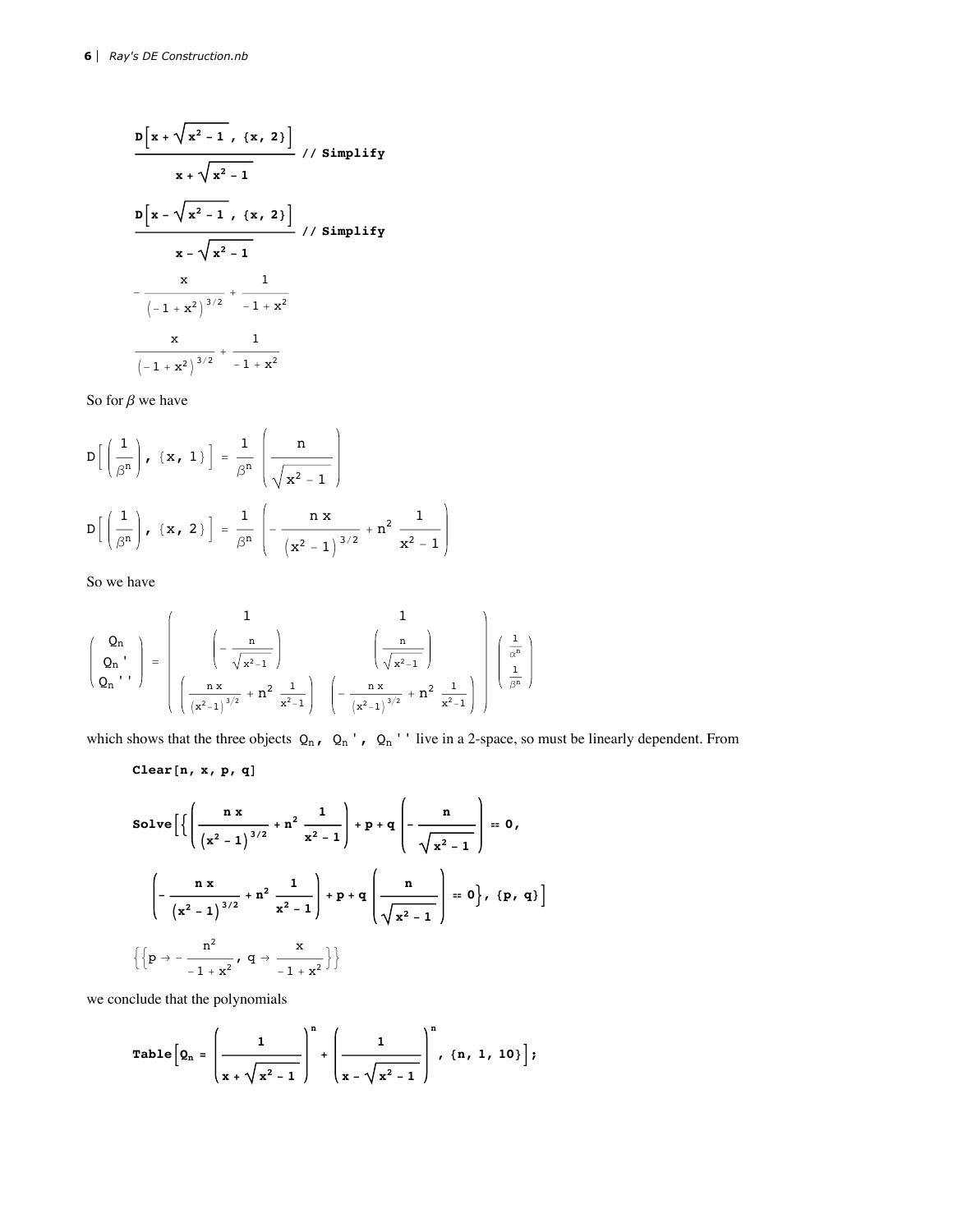$$
\frac{D[x + \sqrt{x^2 - 1}, \{x, 2\}]}{x + \sqrt{x^2 - 1}}
$$
 // Simplify  
\n
$$
\frac{D[x - \sqrt{x^2 - 1}, \{x, 2\}]}{x - \sqrt{x^2 - 1}}
$$
 // Simplify  
\n
$$
x - \sqrt{x^2 - 1}
$$
  
\n
$$
-\frac{x}{(-1 + x^2)^{3/2}} + \frac{1}{-1 + x^2}
$$
  
\n
$$
\frac{x}{(-1 + x^2)^{3/2}} + \frac{1}{-1 + x^2}
$$

So for  $\beta$  we have

$$
D\left[\left(\frac{1}{\beta^{n}}\right), \{x, 1\}\right] = \frac{1}{\beta^{n}} \left(\frac{n}{\sqrt{x^{2}-1}}\right)
$$

$$
D\left[\left(\frac{1}{\beta^{n}}\right), \{x, 2\}\right] = \frac{1}{\beta^{n}} \left(-\frac{n x}{\left(x^{2}-1\right)^{3/2}} + n^{2} \frac{1}{x^{2}-1}\right)
$$

So we have

$$
\left(\begin{array}{c} Q_n \\ Q_n \\ Q_n \\ \end{array}\right) \; = \; \left(\begin{array}{c} 1 \\ -\displaystyle\frac{n}{\sqrt{x^2-1}} \end{array}\right) \qquad \qquad \left(\begin{array}{c} 1 \\ \displaystyle\frac{n}{\sqrt{x^2-1}} \end{array}\right) \qquad \left(\begin{array}{c} \displaystyle\frac{n}{\sqrt{x^2-1}} \\ \displaystyle\frac{n}{\sqrt{x^2-1}} \end{array}\right) \qquad \left(\begin{array}{c} \displaystyle\frac{1}{\alpha^n} \\ \displaystyle\frac{n}{\beta^n} \end{array}\right)
$$

which shows that the three objects  $Q_n$ ,  $Q_n$ ,  $Q_n$ . live in a 2-space, so must be linearly dependent. From

 $Clear[n, x, p, q]$ 

Solve 
$$
\left[ \left\{ \left( \frac{n x}{(x^2 - 1)^{3/2}} + n^2 \frac{1}{x^2 - 1} \right) + p + q \left( - \frac{n}{\sqrt{x^2 - 1}} \right) \right\} = 0,
$$
  

$$
\left( - \frac{n x}{(x^2 - 1)^{3/2}} + n^2 \frac{1}{x^2 - 1} \right) + p + q \left( \frac{n}{\sqrt{x^2 - 1}} \right) = 0 \right\}, \{p, q\} \right]
$$

$$
\left\{ \left\{ p \rightarrow - \frac{n^2}{-1 + x^2}, q \rightarrow \frac{x}{-1 + x^2} \right\} \right\}
$$

we conclude that the polynomials

Table 
$$
\left[Q_n = \left(\frac{1}{x + \sqrt{x^2 - 1}}\right)^n + \left(\frac{1}{x - \sqrt{x^2 - 1}}\right)^n
$$
,  $\{n, 1, 10\}\right];$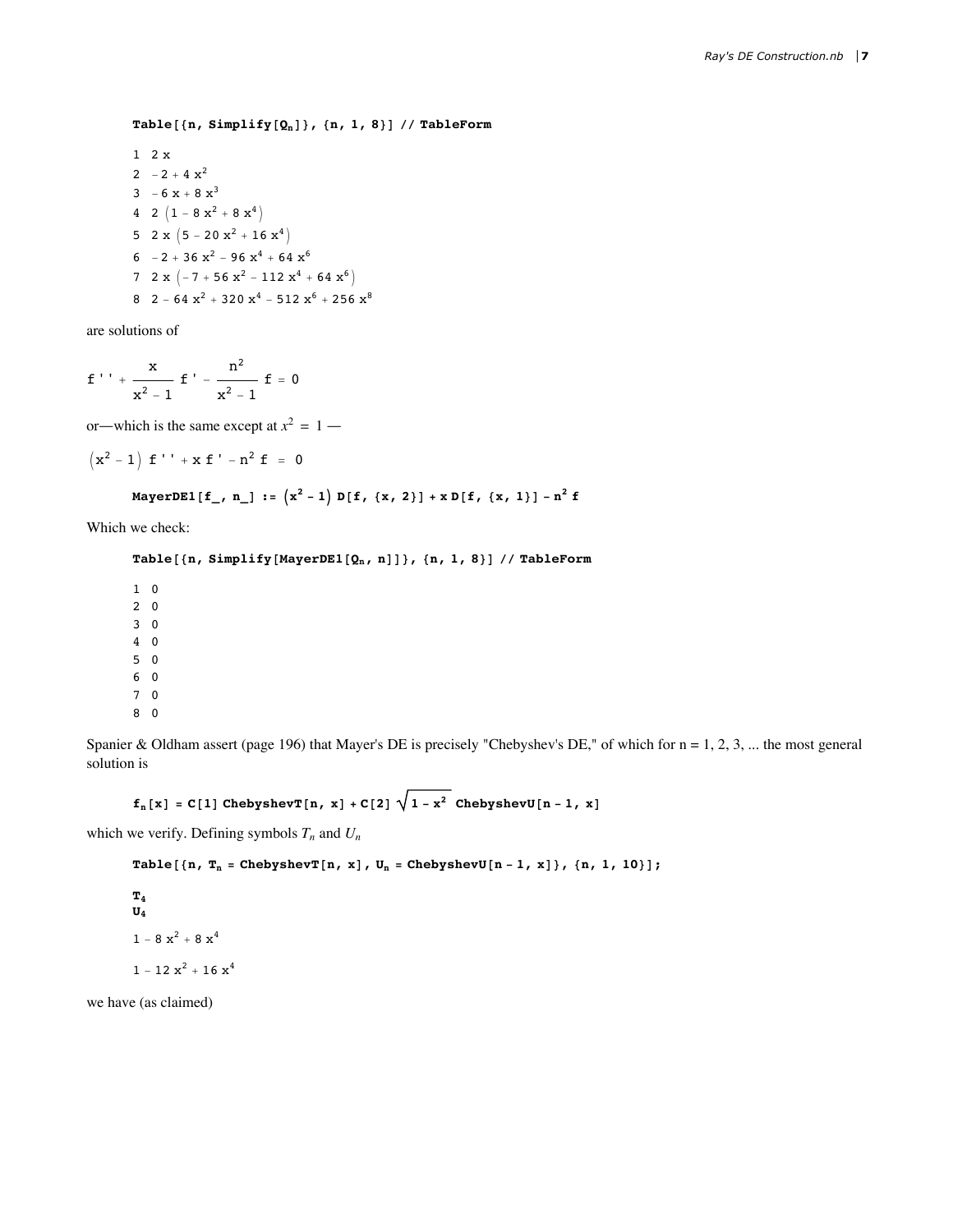**Table@8n, Simplify@QnD<, 8n, 1, 8<D êê TableForm**

1 2 x 2  $-2 + 4x^2$  $3 - 6 x + 8 x^3$ 4 2  $(1 - 8 x^2 + 8 x^4)$ 5 2 x  $(5 - 20 x<sup>2</sup> + 16 x<sup>4</sup>)$ 6  $-2 + 36x^2 - 96x^4 + 64x^6$ 7 2 x  $\left(-7 + 56 x^2 - 112 x^4 + 64 x^6\right)$ 8 2 - 64  $x^2$  + 320  $x^4$  - 512  $x^6$  + 256  $x^8$ 

are solutions of

$$
f'' + \frac{x}{x^2 - 1} f' - \frac{n^2}{x^2 - 1} f = 0
$$

or—which is the same except at  $x^2 = 1$  —

$$
\left( x^{2}-1\right) \,\, \text{f}\, \, \text{'}\, \, \text{'}\, +\, x\, \, \text{f}\, \, \text{'}\, \, -\, n^{2}\, \, \text{f}\,\, \,=\,\, 0
$$

MayerDE1[f\_, n\_] :=  $(x^2 - 1) D[f, {x, 2}] + x D[f, {x, 1}] - n^2 f$ 

Which we check:

## **Table@8n, Simplify@MayerDE1@Qn, nDD<, 8n, 1, 8<D êê TableForm**

Spanier & Oldham assert (page 196) that Mayer's DE is precisely "Chebyshev's DE," of which for  $n = 1, 2, 3, ...$  the most general solution is

 $f_n[x] = C[1] ChebyshevT[n, x] + C[2] \sqrt{1-x^2} ChebyshevU[n-1, x]$ 

which we verify. Defining symbols  $T_n$  and  $U_n$ 

```
Table [\n n, T_n = \text{ChebyshevT}[n, x], U_n = \text{ChebyshevU}[n-1, x]\n, \{n, 1, 10\};
```

```
T4
U4
1 - 8 x<sup>2</sup> + 8 x<sup>4</sup>1 - 12 x^2 + 16 x^4
```
we have (as claimed)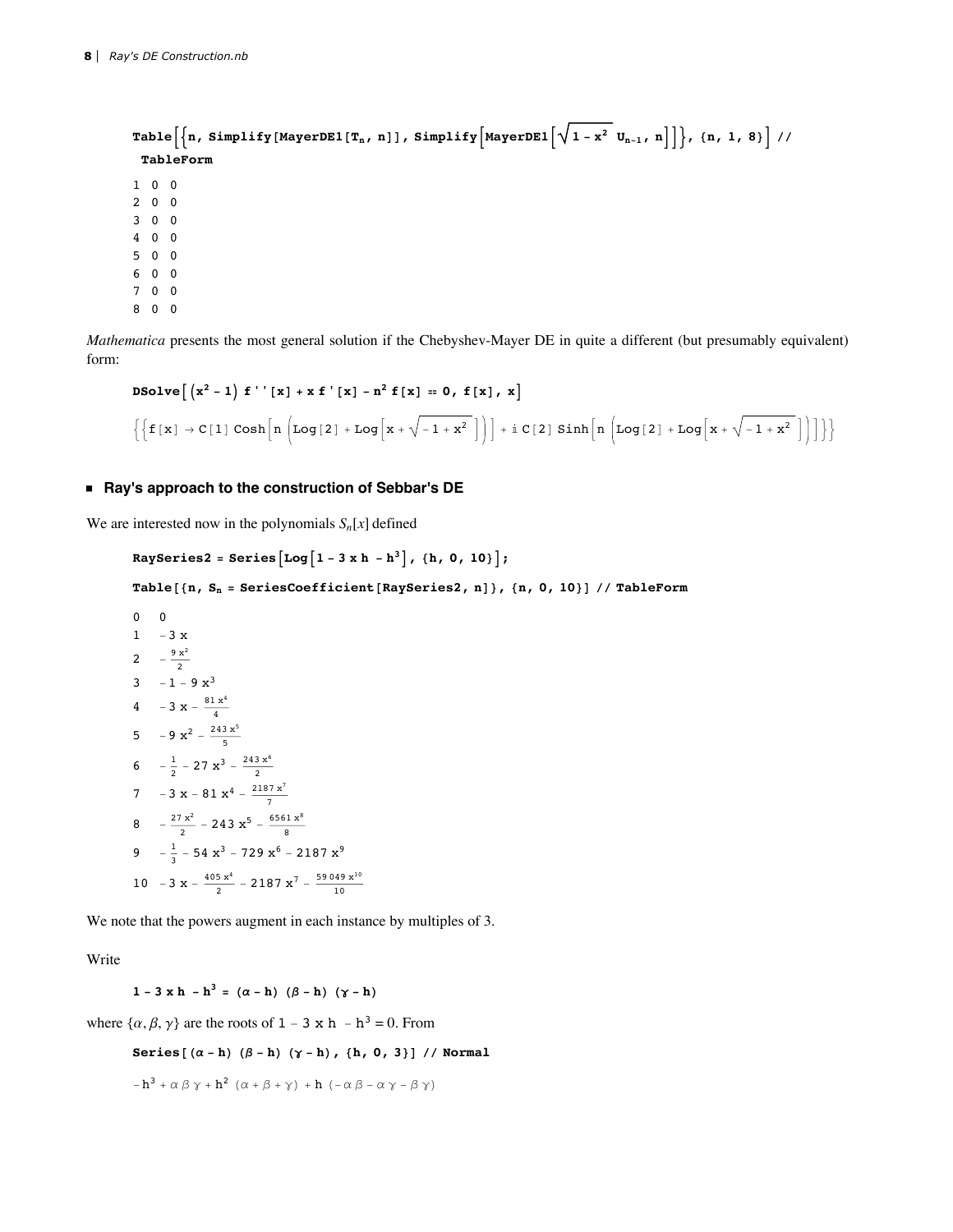```
Table \left[\left\{n, \text{ Simplify}[\text{MayerDE1}[T_n, n]], \text{Simplify}\left[\text{MayerDE1}\left[\sqrt{1-x^2} u_{n-1}, n\right]\right]\right\}, \{n, 1, 8\}\right]//
 TableForm
1 \t0 \t02003004 0 0
5006\quad 0\quad 07008 0 0
```
Mathematica presents the most general solution if the Chebyshev-Mayer DE in quite a different (but presumably equivalent) form:

$$
\begin{aligned} &\text{D} \text{Solve}\Big[\left(x^2-1\right) \text{ f'}'\left[x\right] + x \text{ f'}\left[x\right] - n^2 \text{ f}[x] = 0, \text{ f}[x], \text{ x}\Big] \\ &\left\{\Big\{\text{ f}[x] \rightarrow C[1] \cosh\Big[n\left(\log[2] + \log\Big[x + \sqrt{-1 + x^2}\,\Big]\Big)\Big] + i\,C[2] \sinh\Big[n\left(\log[2] + \log\Big[x + \sqrt{-1 + x^2}\,\Big]\Big)\Big]\Big\}\right\} \end{aligned}
$$

#### Ray's approach to the construction of Sebbar's DE

We are interested now in the polynomials  $S_n[x]$  defined

```
RaySeries2 = Series \lceil \log \lceil 1 - 3 \times h - h^3 \rceil, {h, 0, 10} ;
Table[{n, S<sub>n</sub> = SeriesCoefficient[RaySeries2, n]}, {n, 0, 10}] // TableForm
0\qquad 01 - 3x2 -\frac{9x^2}{2}3 -1-9x^34 - 3 x - \frac{81 x^4}{4}5 -9x^2 - \frac{243x^5}{5}6 -\frac{1}{2} – 27 \mathbf{x}^3 – \frac{243 \mathbf{x}^6}{2}7 - 3 x - 81 x<sup>4</sup> - \frac{2187 \text{ x}^7}{7}8 -\frac{27 x^2}{2} - 243 x^5 - \frac{6561 x^8}{8}9 -\frac{1}{3} – 54 x<sup>3</sup> – 729 x<sup>6</sup> – 2187 x<sup>9</sup>
10 - 3 x - \frac{405 x^4}{2} - 2187 x<sup>7</sup> - \frac{59049 x^{10}}{10}
```
We note that the powers augment in each instance by multiples of 3.

Write

$$
1 - 3 \times h - h^3 = (\alpha - h) (\beta - h) (\gamma - h)
$$

where  $\{\alpha, \beta, \gamma\}$  are the roots of 1 – 3 x h – h<sup>3</sup> = 0. From

Series  $[(\alpha - h) (\beta - h) (\gamma - h)$ ,  $[h, 0, 3)]$  // Normal

$$
-h3 + \alpha \beta \gamma + h2 (\alpha + \beta + \gamma) + h (-\alpha \beta - \alpha \gamma - \beta \gamma)
$$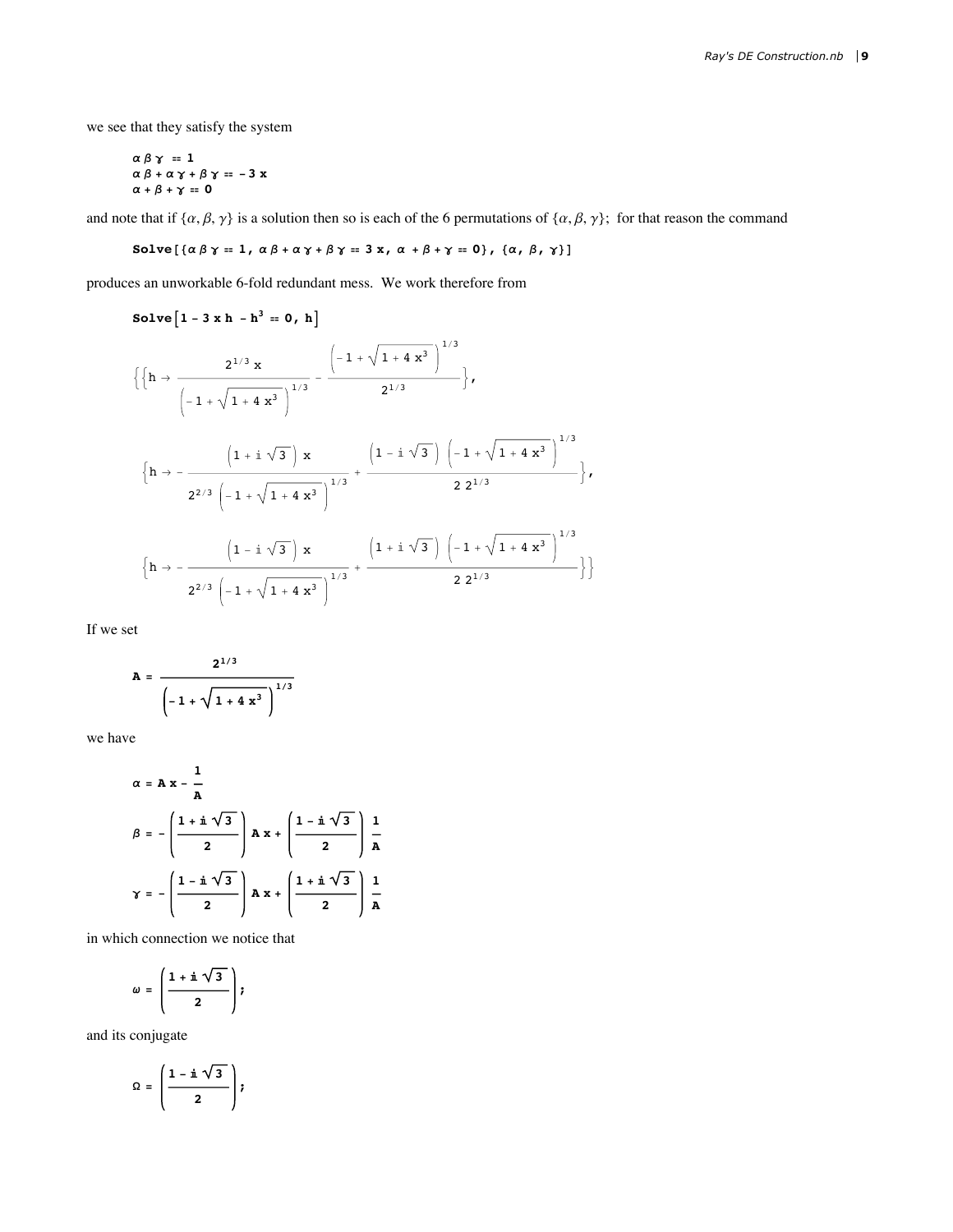we see that they satisfy the system

$$
\alpha \beta \gamma = 1
$$
  
\n
$$
\alpha \beta + \alpha \gamma + \beta \gamma = -3 x
$$
  
\n
$$
\alpha + \beta + \gamma = 0
$$

and note that if  $\{\alpha, \beta, \gamma\}$  is a solution then so is each of the 6 permutations of  $\{\alpha, \beta, \gamma\}$ ; for that reason the command

Solve  $[\{\alpha \beta \gamma = 1, \alpha \beta + \alpha \gamma + \beta \gamma = 3 \times, \alpha + \beta + \gamma = 0\}, \{\alpha, \beta, \gamma\}]$ 

produces an unworkable 6-fold redundant mess. We work therefore from

Solve 
$$
\begin{bmatrix} 1 - 3 \times h - h^3 = 0, h \end{bmatrix}
$$
  
\n
$$
\left\{ \left\{ h \rightarrow \frac{2^{1/3} \times \left( -1 + \sqrt{1 + 4 \times^3} \right)^{1/3} - \frac{(1 + \sqrt{1 + 4 \times^3})^{1/3}}{2^{1/3}} \right\}, \left\{ h \rightarrow -\frac{\left( 1 + i \sqrt{3} \right) \times \left( -1 + \sqrt{1 + 4 \times^3} \right)^{1/3} + \frac{(1 - i \sqrt{3}) \left( -1 + \sqrt{1 + 4 \times^3} \right)^{1/3}}{2 \times 2^{1/3}} \right\}, \left\{ h \rightarrow -\frac{\left( 1 - i \sqrt{3} \right) \times \left( 1 + i \sqrt{3} \right)^{1/3} + \frac{(1 + i \sqrt{3}) \left( -1 + \sqrt{1 + 4 \times^3} \right)^{1/3}}{2 \times 2^{1/3}} \right\} \right\}
$$
\n
$$
\left\{ h \rightarrow -\frac{\left( 1 - i \sqrt{3} \right) \times \left( 1 + i \sqrt{3} \right)^{1/3} + \frac{(1 + i \sqrt{3}) \left( -1 + \sqrt{1 + 4 \times^3} \right)^{1/3}}{2 \times 2^{1/3}} \right\} \right\}
$$

If we set

$$
A = \frac{2^{1/3}}{\left(-1 + \sqrt{1 + 4x^3}\right)^{1/3}}
$$

we have

$$
\alpha = A x - \frac{1}{A}
$$
\n
$$
\beta = -\left(\frac{1 + i\sqrt{3}}{2}\right) A x + \left(\frac{1 - i\sqrt{3}}{2}\right) \frac{1}{A}
$$
\n
$$
\gamma = -\left(\frac{1 - i\sqrt{3}}{2}\right) A x + \left(\frac{1 + i\sqrt{3}}{2}\right) \frac{1}{A}
$$

in which connection we notice that

$$
\omega = \left(\frac{1 + \mathbf{i} \sqrt{3}}{2}\right);
$$

and its conjugate

$$
\Omega = \left(\frac{1 - \mathbf{i} \sqrt{3}}{2}\right);
$$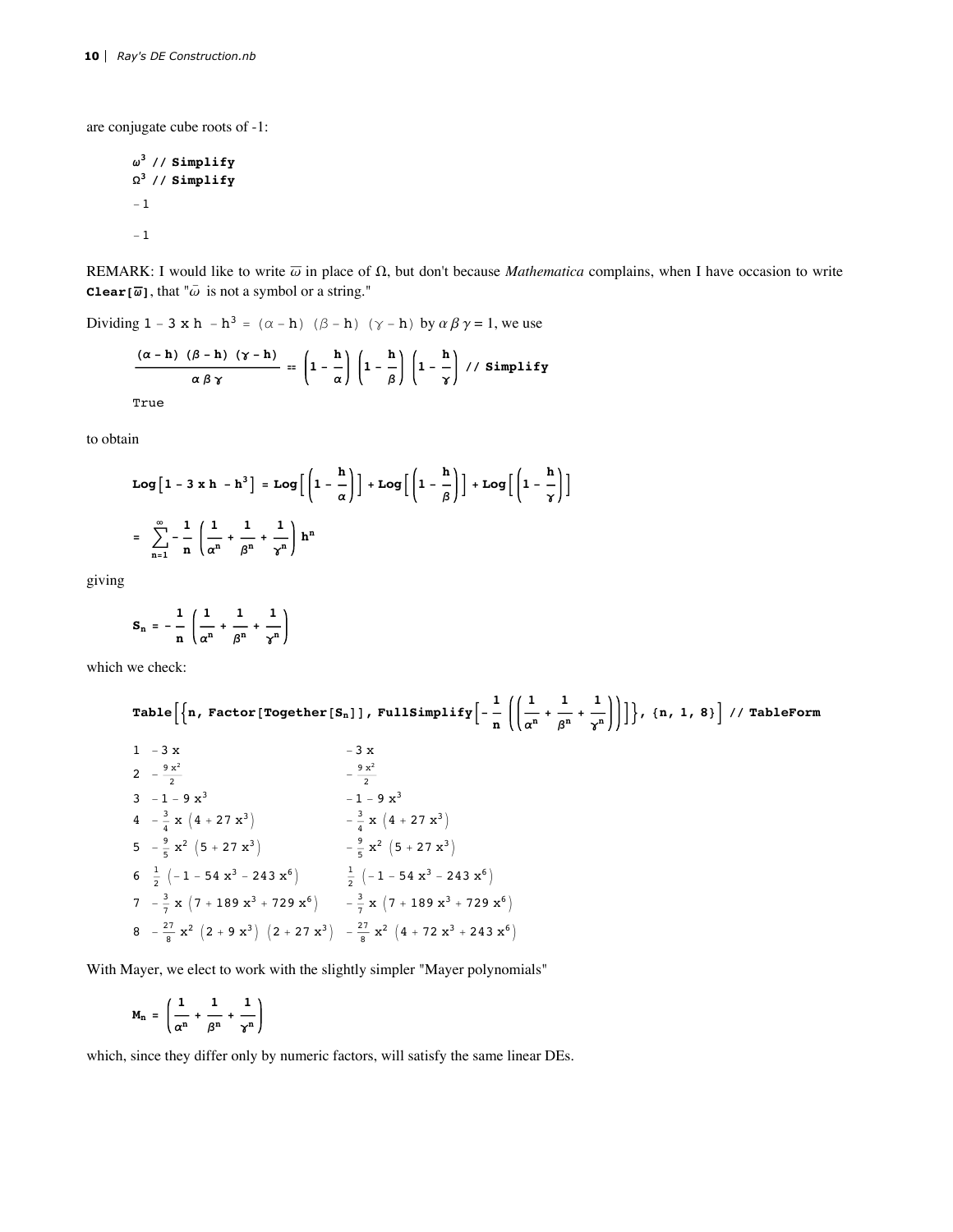are conjugate cube roots of -1:

$$
\omega^3 // Simplify
$$
  

$$
\Omega^3 // Simplify
$$
  

$$
-1
$$
  

$$
-1
$$

REMARK: I would like to write  $\overline{\omega}$  in place of  $\Omega$ , but don't because *Mathematica* complains, when I have occasion to write **Clear** [ $\overline{\omega}$ ], that " $\overline{\omega}$  is not a symbol or a string."

Dividing 1 - 3 x h - h<sup>3</sup> =  $(\alpha - h)$  ( $\beta - h$ ) ( $\gamma - h$ ) by  $\alpha \beta \gamma = 1$ , we use

$$
\frac{(\alpha - h) (\beta - h) (\gamma - h)}{\alpha \beta \gamma} = \left(1 - \frac{h}{\alpha}\right) \left(1 - \frac{h}{\beta}\right) \left(1 - \frac{h}{\gamma}\right) / / \text{Simplify}
$$
\nTrue

to obtain

Log 
$$
\left[1 - 3 \times h - h^3\right]
$$
 = Log  $\left[\left(1 - \frac{h}{\alpha}\right)\right]$  + Log  $\left[\left(1 - \frac{h}{\beta}\right)\right]$  + Log  $\left[\left(1 - \frac{h}{\gamma}\right)\right]$   
=  $\sum_{n=1}^{\infty} -\frac{1}{n} \left(\frac{1}{\alpha^n} + \frac{1}{\beta^n} + \frac{1}{\gamma^n}\right) h^n$ 

giving

$$
S_n = -\frac{1}{n} \left( \frac{1}{\alpha^n} + \frac{1}{\beta^n} + \frac{1}{\gamma^n} \right)
$$

which we check:

Table 
$$
\left[\left\{\mathbf{n}, \text{ Factor}[\text{Together}[S_{\mathbf{n}}]\right\}, \text{FullSimplify}\left[-\frac{1}{\mathbf{n}}\left(\left(\frac{1}{\alpha^{\mathbf{n}}} + \frac{1}{\beta^{\mathbf{n}}} + \frac{1}{\gamma^{\mathbf{n}}}\right)\right)\right]\right\}, \{\mathbf{n}, \mathbf{1}, \mathbf{8}\}\right] // \text{ TableForm}
$$
\n
$$
1 - 3 \times \qquad -3 \times
$$
\n
$$
2 - \frac{9 \times^2}{2} \qquad -\frac{9 \times^2}{2}
$$
\n
$$
3 - 1 - 9 \times^3 \qquad -1 - 9 \times^3
$$
\n
$$
4 - \frac{3}{4} \times \left(4 + 27 \times^3\right) \qquad -\frac{3}{4} \times \left(4 + 27 \times^3\right)
$$
\n
$$
5 - \frac{9}{5} \times^2 \left(5 + 27 \times^3\right) \qquad -\frac{9}{5} \times^2 \left(5 + 27 \times^3\right)
$$
\n
$$
6 \frac{1}{2} \left(-1 - 54 \times^3 - 243 \times^6\right) \qquad \frac{1}{2} \left(-1 - 54 \times^3 - 243 \times^6\right)
$$
\n
$$
7 - \frac{3}{7} \times \left(7 + 189 \times^3 + 729 \times^6\right) \qquad -\frac{3}{7} \times \left(7 + 189 \times^3 + 729 \times^6\right)
$$
\n
$$
8 - \frac{27}{8} \times^2 \left(2 + 9 \times^3\right) \left(2 + 27 \times^3\right) \qquad -\frac{27}{8} \times^2 \left(4 + 72 \times^3 + 243 \times^6\right)
$$

With Mayer, we elect to work with the slightly simpler "Mayer polynomials"

$$
M_n = \left(\frac{1}{\alpha^n} + \frac{1}{\beta^n} + \frac{1}{\gamma^n}\right)
$$

which, since they differ only by numeric factors, will satisfy the same linear DEs.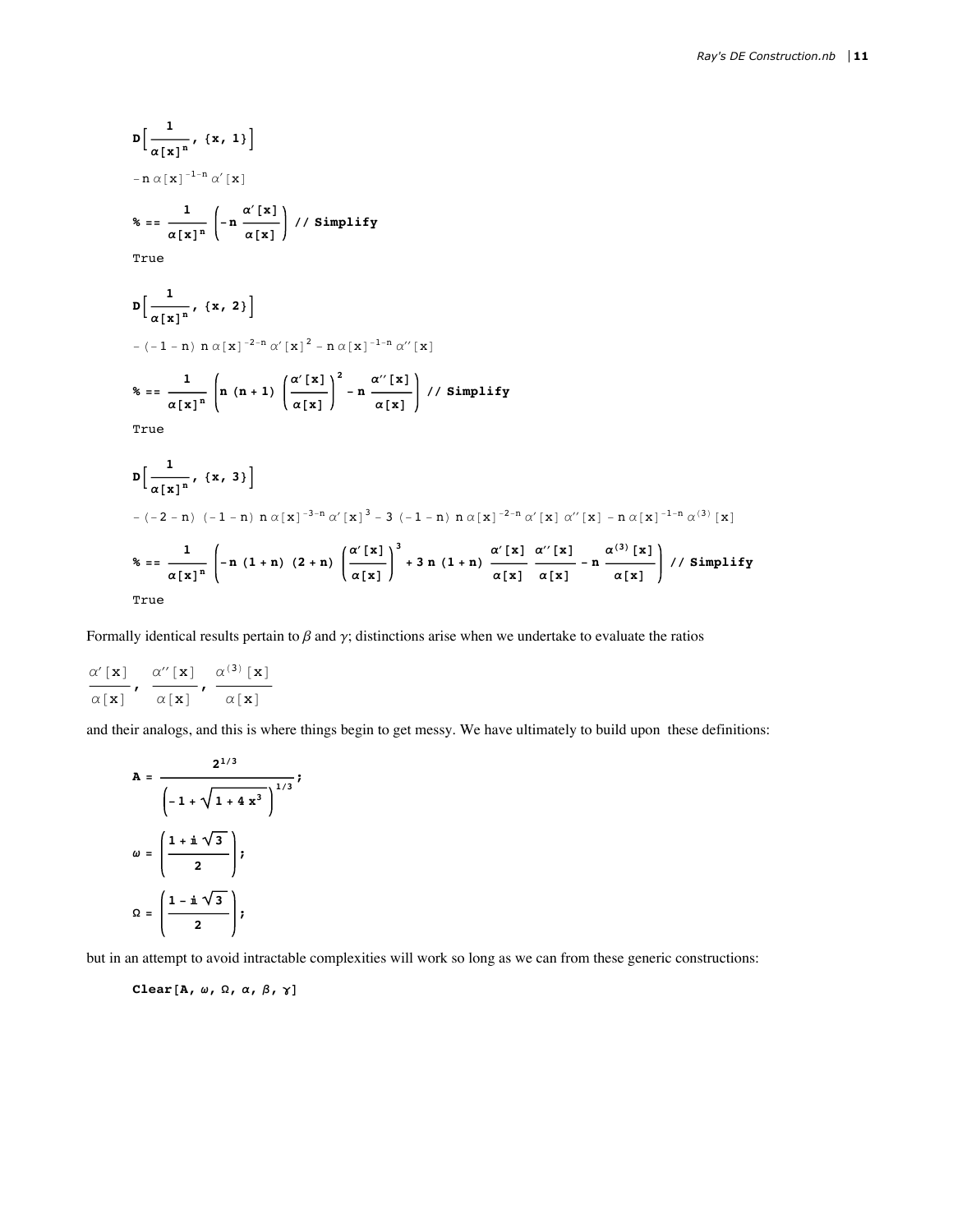$$
D\left[\frac{1}{\alpha[x]^n}, \{x, 1\}\right]
$$
\n
$$
-n \alpha[x]^{-1-n} \alpha'[x]
$$
\n
$$
f(x, 1) = \alpha[x]^n \left(-n \frac{\alpha'[x]}{\alpha[x]}\right) / \beta \text{implify}
$$
\n
$$
D\left[\frac{1}{\alpha[x]^n}, \{x, 2\}\right]
$$
\n
$$
-(-1 - n) n \alpha[x]^{-2-n} \alpha'[x]^2 - n \alpha[x]^{-1-n} \alpha'[x]
$$
\n
$$
f(x, 2) = \frac{1}{\alpha[x]^n} \left(n (n+1) \left(\frac{\alpha'[x]}{\alpha[x]}\right)^2 - n \frac{\alpha'[x]}{\alpha[x]}\right) / \beta \text{ simplify}
$$
\n
$$
T\text{true}
$$
\n
$$
D\left[\frac{1}{\alpha[x]^n}, \{x, 3\}\right]
$$
\n
$$
-(-2 - n) (-1 - n) n \alpha[x]^{-3-n} \alpha'[x]^3 - 3 (-1 - n) n \alpha[x]^{-2-n} \alpha'[x] \alpha''[x] - n \alpha[x]^{-1-n} \alpha^{(3)}[x]
$$
\n
$$
f(x, 3) = \frac{1}{\alpha[x]^n} \left(-n (1 + n) (2 + n) \left(\frac{\alpha'[x]}{\alpha[x]} \right)^3 + 3n (1 + n) \frac{\alpha'[x]}{\alpha[x]} \frac{\alpha''[x]}{\alpha[x]} - n \frac{\alpha^{(3)}[x]}{\alpha[x]} \right) / \beta \text{ simplify}
$$

True

Formally identical results pertain to  $\beta$  and  $\gamma$ ; distinctions arise when we undertake to evaluate the ratios

$$
\frac{\alpha' \left[\mathbf{x}\right]}{\alpha\left[\mathbf{x}\right]}, \frac{\alpha''\left[\mathbf{x}\right]}{\alpha\left[\mathbf{x}\right]}, \frac{\alpha^{(3)}\left[\mathbf{x}\right]}{\alpha\left[\mathbf{x}\right]}
$$

and their analogs, and this is where things begin to get messy. We have ultimately to build upon these definitions:

$$
A = \frac{2^{1/3}}{\left(-1 + \sqrt{1 + 4x^3}\right)^{1/3}};
$$

$$
\omega = \left(\frac{1 + i\sqrt{3}}{2}\right);
$$

$$
\Omega = \left(\frac{1 - i\sqrt{3}}{2}\right);
$$

but in an attempt to avoid intractable complexities will work so long as we can from these generic constructions:

Clear [A,  $\omega$ ,  $\Omega$ ,  $\alpha$ ,  $\beta$ ,  $\gamma$ ]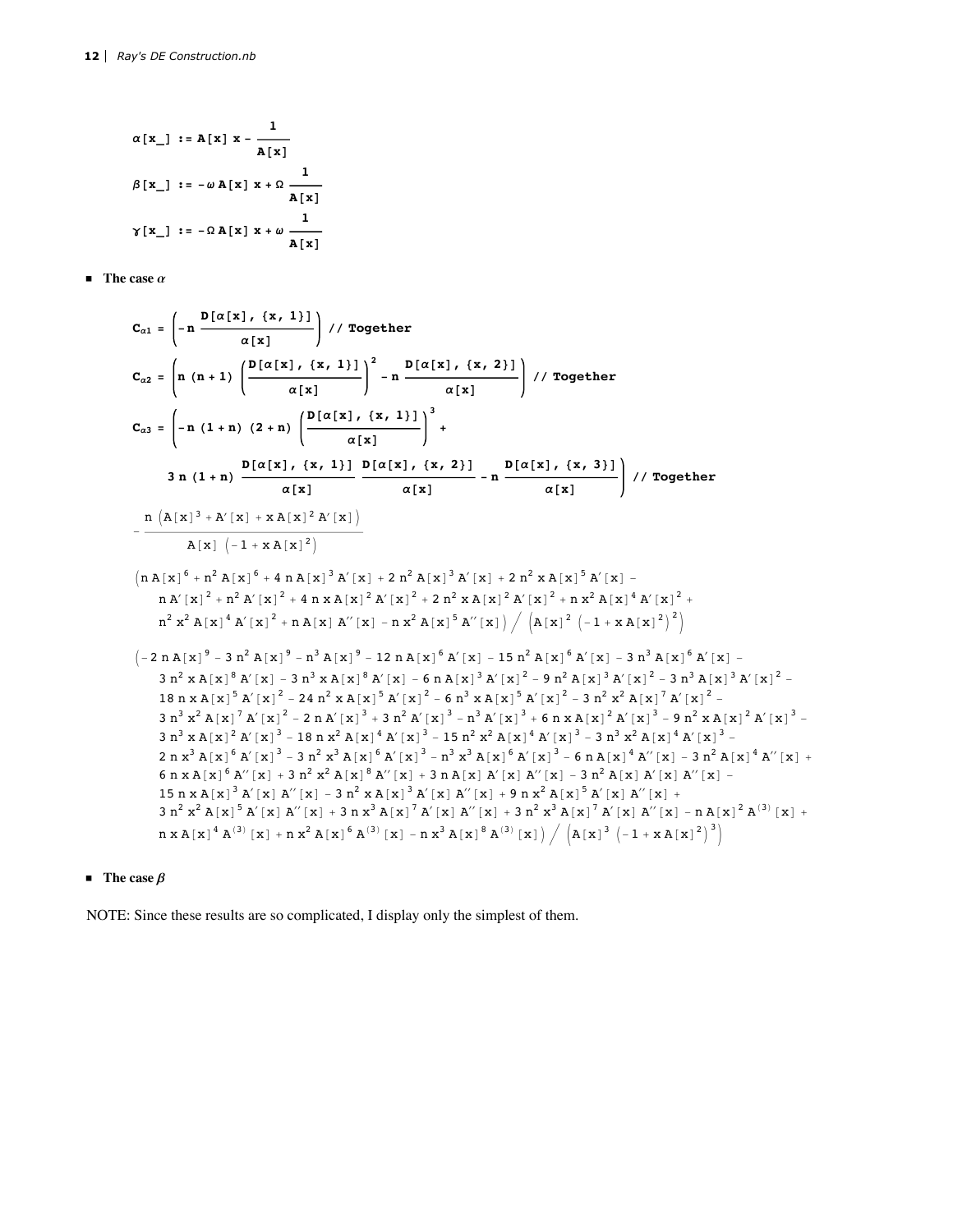$$
\alpha[x_{\perp}] := A[x] x - \frac{1}{A[x]}
$$
  

$$
\beta[x_{\perp}] := -\omega A[x] x + \Omega \frac{1}{A[x]}
$$
  

$$
\gamma[x_{\perp}] := -\Omega A[x] x + \omega \frac{1}{A[x]}
$$

 $\blacksquare$  The case  $\alpha$ 

$$
C_{a1} = \left(-n \frac{D[\alpha[x], \{x, 1\}]}{\alpha[x]}\right) // Together
$$
\n
$$
C_{a2} = \left(n (n + 1) \left(\frac{D[\alpha[x], \{x, 1\}]}{\alpha[x]}\right)^2 - n \frac{D[\alpha[x], \{x, 2\}]}{\alpha[x]}\right) // Together
$$
\n
$$
C_{a3} = \left(-n (1 + n) (2 + n) \left(\frac{D[\alpha[x], \{x, 1\}]}{\alpha[x]}\right)^3 + \frac{D[\alpha[x], \{x, 1\}]}{\alpha[x]}\right)^3 + \frac{D[\alpha[x], \{x, 1\}]}{\alpha[x]}\right)^3 + \frac{D[\alpha[x], \{x, 2\}]}{\alpha[x]}\right) // Together
$$
\n
$$
= \frac{n (\lambda[x]^3 + \lambda'[x] + x \lambda[x]^2 \lambda'[x])}{\lambda[x] (-1 + x \lambda[x]^2)}
$$
\n
$$
\left(n \lambda[x]^6 + n^2 \lambda[x]^6 + 4 n \lambda[x]^3 \lambda'[x] + 2 n^2 \lambda[x]^3 \lambda'[x] + 2 n^2 x \lambda[x]^5 \lambda'[x] - n \lambda'[x]^2 + n^2 \lambda'[x]^2 + 4 n x \lambda[x]^2 \lambda'[x] + 2 n^2 x \lambda[x]^3 \lambda'[x] + 2 n^2 x \lambda[x]^5 \lambda'[x] - \frac{n \lambda'[x]^2 + n^2 \lambda'[x]^2 + 4 n x \lambda[x]^2 \lambda'[x] + n^2 x \lambda[x]^5 \lambda'[x] - n^2 \lambda[x]^6 \lambda'[x] - n^2 \lambda[x]^6 \lambda'[x] - n^2 \lambda[x]^7 \lambda'[x]^2 + n^2 \lambda[x]^8 \lambda'[x]^2 - \frac{3 n^2 x \lambda[x]^6 \lambda'[x] - 3 n^3 x \lambda[x]^6 \lambda'[x] - 6 n \lambda[x]^5 \lambda'[x] - 5 n^2 \lambda[x]^3 \lambda'[x]^2 - 3 n^3 x \lambda[x]^6 \lambda'[x] - 2 n^2 x \lambda[x]^5 \lambda'[x]^2 - 6 n^3 x \lambda[x]^5 \lambda'[x]^2 - 3 n^2 x^2 \lambda[x]^7 \lambda'[x]^2 - 3 n^3 x \lambda[x]^5 \lambda'[x]^2 - 2 n^2 x^2 \lambda[x]^5 \lambda'[x]^2 - 3 n^2 x^2 \lambda[x]^7 \lambda'[x]^2 - 3 n^3 x^2 \
$$

## **The case**  $\beta$

NOTE: Since these results are so complicated, I display only the simplest of them.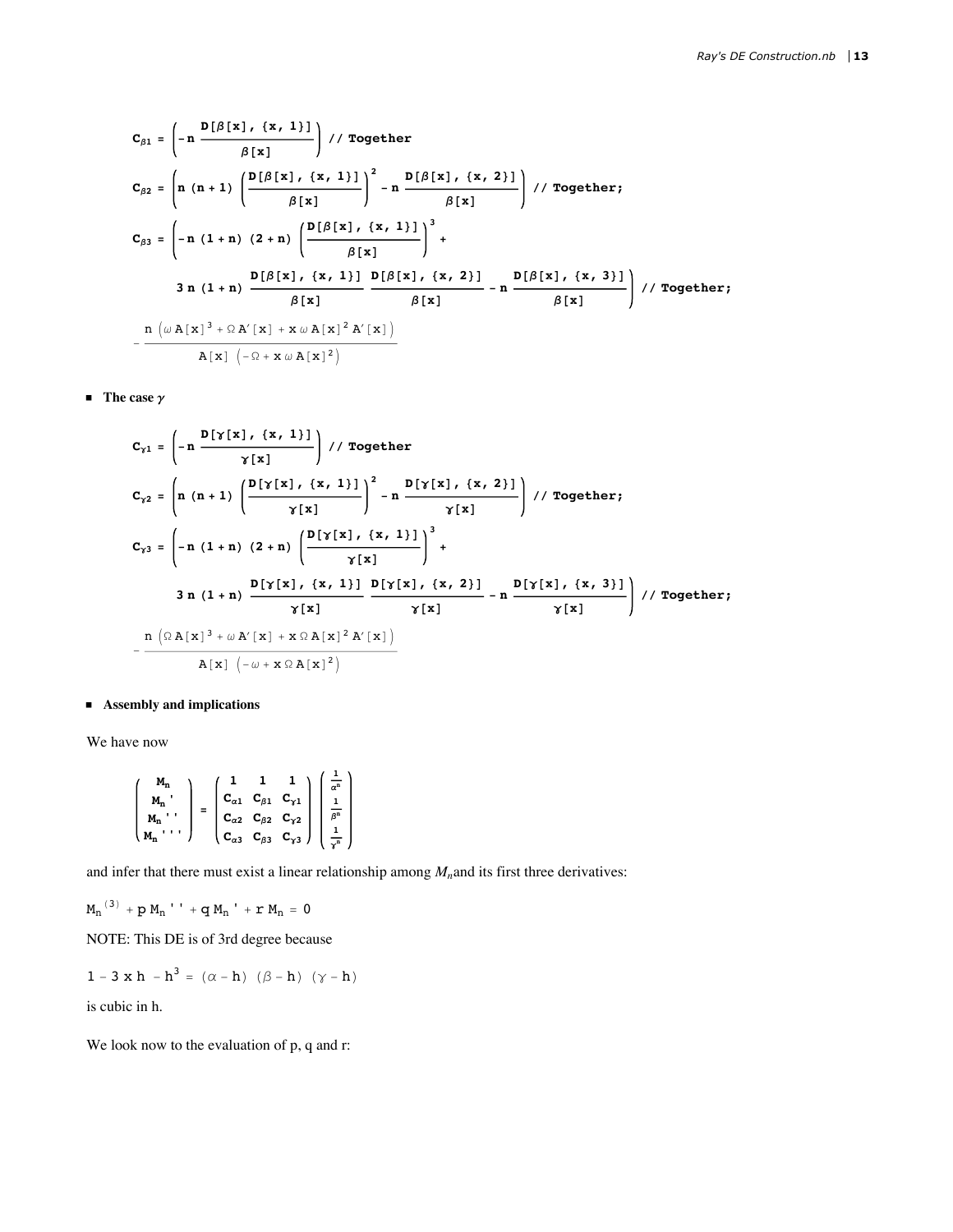$$
C_{\beta1} = \left(-n \frac{D[\beta[x], \{x, 1\}]}{\beta[x]}\right) // Together
$$
\n
$$
C_{\beta2} = \left(n (n+1) \left(\frac{D[\beta[x], \{x, 1\}]}{\beta[x]}\right)^2 - n \frac{D[\beta[x], \{x, 2\}]}{\beta[x]}\right) // Together;
$$
\n
$$
C_{\beta3} = \left(-n (1+n) (2+n) \left(\frac{D[\beta[x], \{x, 1\}]}{\beta[x]}\right)^3 + \frac{D[\beta[x], \{x, 1\}]}{\beta[x]} - n \frac{D[\beta[x], \{x, 3\}]}{\beta[x]}\right) // Together;
$$
\n
$$
3 n (1+n) \frac{D[\beta[x], \{x, 1\}]}{\beta[x]} \frac{D[\beta[x], \{x, 2\}]}{\beta[x]} - n \frac{D[\beta[x], \{x, 3\}]}{\beta[x]} \right) // Together;
$$
\n
$$
-\frac{n (\omega A[x]^3 + \Omega A'[x] + x \omega A[x]^2 A'[x])}{A[x] (-\Omega + x \omega A[x]^2)}
$$

**The case**  $\gamma$ 

$$
C_{\gamma1} = \left(-n \frac{D[\gamma[x], \{x, 1\}]}{\gamma[x]}\right) // Together
$$
\n
$$
C_{\gamma2} = \left(n (n+1) \left(\frac{D[\gamma[x], \{x, 1\}]}{\gamma[x]}\right)^2 - n \frac{D[\gamma[x], \{x, 2\}]}{\gamma[x]}\right) // Together;
$$
\n
$$
C_{\gamma3} = \left(-n (1+n) (2+n) \left(\frac{D[\gamma[x], \{x, 1\}]}{\gamma[x]}\right)^3 + \frac{D[\gamma[x], \{x, 1\}]}{\gamma[x]} - n \frac{D[\gamma[x], \{x, 3\}]}{\gamma[x]}\right) // Together;
$$
\n
$$
3 n (1+n) \frac{D[\gamma[x], \{x, 1\}]}{\gamma[x]} \frac{D[\gamma[x], \{x, 2\}]}{\gamma[x]} - n \frac{D[\gamma[x], \{x, 3\}]}{\gamma[x]} // Together;
$$
\n
$$
-\frac{n (\Omega A[x]^3 + \omega A[x] + x \Omega A[x]^2 A'[x])}{A[x] (-\omega + x \Omega A[x]^2)}
$$

## Assembly and implications

We have now

$$
\begin{pmatrix}\nM_n \\
M_n \\
M_n\n\end{pmatrix} = \begin{pmatrix}\n1 & 1 & 1 \\
C_{\alpha 1} & C_{\beta 1} & C_{\gamma 1} \\
C_{\alpha 2} & C_{\beta 2} & C_{\gamma 2} \\
C_{\alpha 3} & C_{\beta 3} & C_{\gamma 3}\n\end{pmatrix} \begin{pmatrix}\n\frac{1}{\alpha^n} \\
\frac{1}{\beta^n} \\
\frac{1}{\gamma^n}\n\end{pmatrix}
$$

and infer that there must exist a linear relationship among  $M_n$  and its first three derivatives:

 $\label{eq:20} \begin{array}{cc} \displaystyle {{M_{\rm{n}}}}^{(3)}\, +\,p\,\, {{M_{\rm{n}}}}^{\;\; \prime}\,\; +\,q\,\, {{M_{\rm{n}}}}^{\;\; \prime}\,\, +\,r\,\, {{M_{\rm{n}}}}\, =\,0 \end{array}$ 

NOTE: This DE is of 3rd degree because

$$
1 - 3 \times h - h^3 = (\alpha - h) (\beta - h) (\gamma - h)
$$

is cubic in h.

We look now to the evaluation of p, q and r: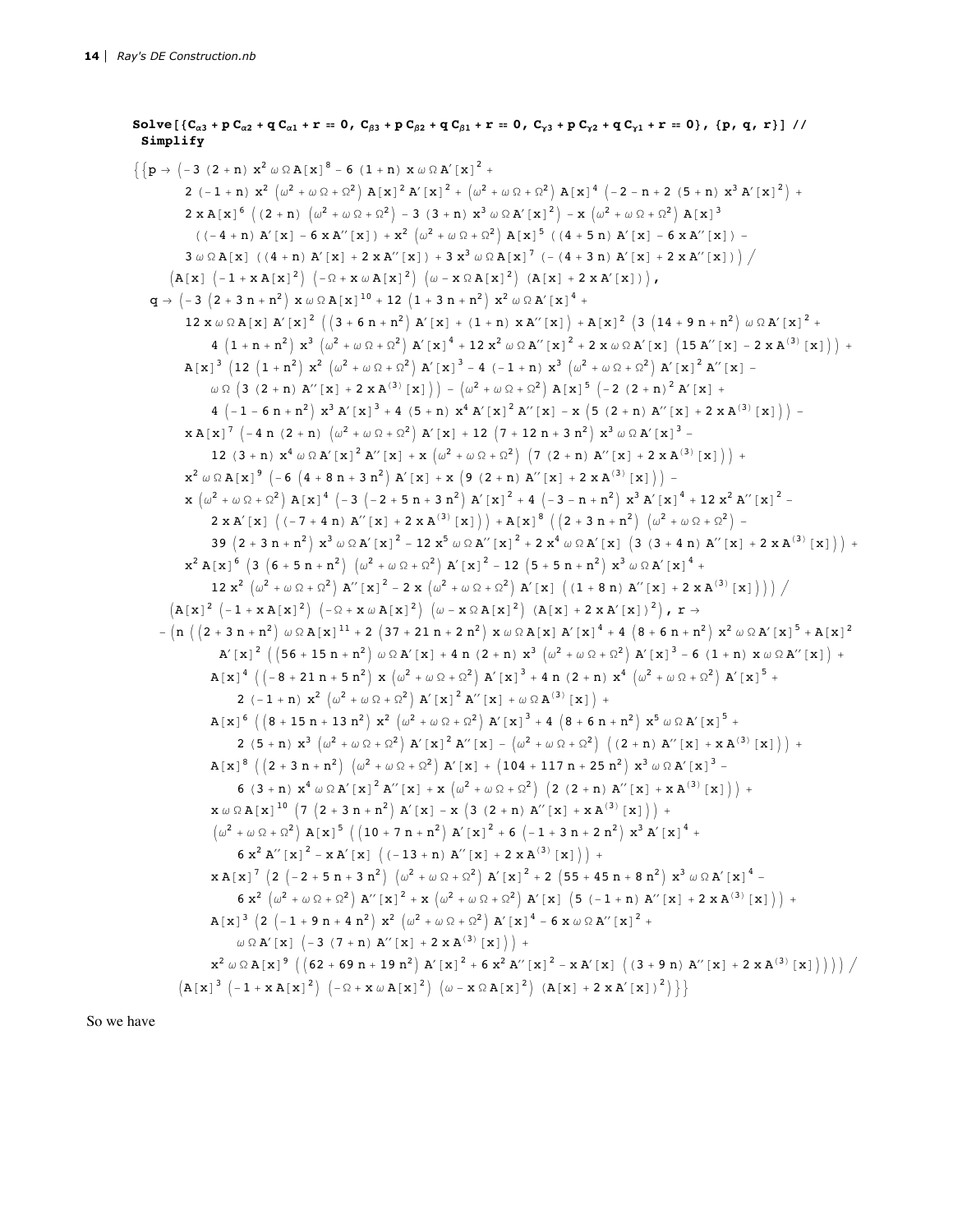```
Solve [(C_{\alpha 3} + p C_{\alpha 2} + q C_{\alpha 1} + r = 0, C_{\beta 3} + p C_{\beta 2} + q C_{\beta 1} + r = 0, C_{\gamma 3} + p C_{\gamma 2} + q C_{\gamma 1} + r = 0], (p, q, r)]//
  Simplify
\left\{ \{p \to (-3 (2 + n) x^{2} \omega \Omega A[x]^{8} - 6 (1 + n) x \omega \Omega A'[x]^{2} + \right\}2 (-1+n) x^2 (\omega^2 + \omega \Omega + \Omega^2) A [x]^2 A' [x]^2 + (\omega^2 + \omega \Omega + \Omega^2) A [x]^4 (-2-n+2 (5+n) x^3 A' [x]^2) +
                2 \times A[x]<sup>6</sup> ((2 + n) (\omega^2 + \omega \Omega + \Omega^2) - 3 (3 + n) x^3 \omega \Omega A'[x]^2) - x (\omega^2 + \omega \Omega + \Omega^2) A[x]^3((-4 + n) A' [x] - 6 x A'' [x]) + x^2 (\omega^2 + \omega \Omega + \Omega^2) A [x]^{5} ((4 + 5 n) A' [x] - 6 x A'' [x]) -3\;\omega\,\Omega\;A\,[\,x\,]\;\;\left(\; (\,4\,+\,n\,)\;\,A^{\,\prime}\,[\,x\,]\,+\,2\,\,x\,A^{\,\prime\prime}\,[\,x\,]\, \right)\;+\,3\;x^3\;\omega\,\Omega\;A\,[\,x\,]\,^{\,7}\;\left(\;-\; (\,4\,+\,3\,\,n\,)\;\,A^{\,\prime}\,[\,x\,]\,+\,2\,\,x\,A^{\,\prime\prime}\,[\,x\,]\, \right)\;\right/\;(A[x] (-1+xA[x]^2) (-\Omega+ x \omega A[x]^2) (\omega - x \Omega A[x]^2) (A[x] + 2xA'[x])),q \, \rightarrow \, \left(\textcolor{blue}{-3}\, \left(2+3\,\,n+\textcolor{blue}{n^2}\right)\, \, x \,\, \omega \,\, \Omega \, A \, \left[\,x\,\right]^{\, 10}\, +\, 12\, \, \left(1+3\,\,n+\textcolor{blue}{n^2}\right)\, \, x^2 \,\, \omega \,\, \Omega \, A' \, \left[\,x\,\right]^{\, 4}\, +12 \times \omega \Omega A [x] A [x]<sup>2</sup> (3 + 6 n + n<sup>2</sup>) A [x] + (1 + n) x A "[x]) + A [x]<sup>2</sup> (3 (14 + 9 n + n<sup>2</sup>) \omega \Omega A [x]<sup>2</sup> +
                        4 (1 + n + n^{2}) x^{3} (\omega^{2} + \omega \Omega + \Omega^{2}) A' [x]^{4} + 12 x^{2} \omega \Omega A'' [x]^{2} + 2 x \omega \Omega A' [x] (15 A'' [x] - 2 x A^{(3)} [x]) +A[x]^3 (12 (1 + n^2) x^2 (\omega^2 + \omega \Omega + \Omega^2) A'[x]^3 - 4 (-1 + n) x^3 (\omega^2 + \omega \Omega + \Omega^2) A'[x]^2 A''[x] -\omega \, \Omega \, \left( \, 3 \, \, \left( 2\,+\,n \,\right) \, {\rm A}^{\prime \prime} \, \left[ \, {\rm x} \, \right] \, +\, 2 \, \, {\rm x} \, {\rm A}^{\,(3)} \, \left[ \, {\rm x} \, \right] \, \right) \; - \; \left( \omega^2 \, + \, \omega \, \Omega \, + \, \Omega^2 \, \right) \, {\rm A} \, \left[ \, {\rm x} \, \right]^{\,5} \, \left( -\,2 \, \, \left( 2\, +\,n \right)^{\,2} \, {\rm A}^{\prime} \, \left[ \, {\4 \, \left(-1 - 6 \, n + n^2\right) \, x^3 \, A' \, \bigl[ \,x \,\bigr]^{\,3} \, + \, 4 \, \, \left(5 + n\right) \, \, x^4 \, A' \, \bigl[ \,x \,\bigr]^{\,2} \, A'' \, \bigl[ \,x \,\bigr] \, - \, x \, \, \left(5 \, \, \left(2 + n\right) \, A'' \, \bigl[ \,x \,\bigr] \, + \, 2 \, \, x \, A^{\, (3)} \, \bigl[ \,x \,\bigr] \,\bigr) \,\bigr] \, - \, 0 \, \, x \, A'x A[x]^7 (-4 n (2 + n) (\omega^2 + \omega \Omega + \Omega^2) A'[x] + 12 (7 + 12 n + 3 n^2) x^3 \omega \Omega A'[x]^3 -12 (3 + n) x^4 \omega \Omega A' [x]^2 A'' [x] + x (\omega^2 + \omega \Omega + \Omega^2) (7 (2 + n) A'' [x] + 2 x A^{(3)} [x]) +x^{2} \omega \Omega A[x^{9} (-6 (4 + 8 n + 3 n^{2}) A'[x] + x (9 (2 + n) A''[x] + 2 x A^{(3)}[x]) -\mathbf{x}\;\left(\omega^2\,+\,\omega\,\,\Omega\,+\,\Omega^2\right)\;\mathbf{A}\left[\,\mathbf{x}\,\right]^{\,4}\;\left(-\,3\;\left(-\,2\,+\,5\,\,n\,+\,3\,\,n^2\,\right)\;\mathbf{A}'\left[\,\mathbf{x}\,\right]^{\,2}\,+\,4\;\left(-\,3\,-\,n\,+\,n^2\,\right)\;\mathbf{x}^3\;\mathbf{A}'\left[\,\mathbf{x}\,\right]^{\,4}\,+\,12\,\,\mathbf{x}^2\;\mathbf{A}''\left[\,\mathbf{x}\,\right]^{\,2}\,+\,4\,\mathbf{x}^3\;\mathbf{A}'2 \times A' [x] ( (-7 + 4 n) A'' [x] + 2 \times A^{(3)} [x]) ) + A [x]^{8} ( (2 + 3 n + n^{2}) ( \omega^{2} + \omega \Omega + \Omega^{2}) -39 (2 + 3 n + n^2) x^3 \omega \Omega A' [x]^2 - 12 x^5 \omega \Omega A'' [x]^2 + 2 x^4 \omega \Omega A' [x] (3 (3 + 4 n) A'' [x] + 2 x A^{(3)} [x]) +x^2 A [x]<sup>6</sup> (3 (6 + 5 n + n<sup>2</sup>) (\omega^2 + \omega \Omega + \Omega^2) A' [x]<sup>2</sup> - 12 (5 + 5 n + n<sup>2</sup>) x<sup>3</sup> \omega \Omega A' [x]^4 +
                       12 x^2 (\omega^2 + \omega \Omega + \Omega^2) A'' [x]^2 - 2x (\omega^2 + \omega \Omega + \Omega^2) A' [x] ((1 + 8n) A'' [x] + 2x A^{(3)} [x])) )(A[x]^2 (-1+xA[x]^2) (-Q+xA[x]^2) (\omega - x \Omega A[x]^2) (A[x] + 2xA'[x])^2), r \rightarrow- (n ((2 + 3 n + n<sup>2</sup>) \omega \Omega A[x]<sup>11</sup> + 2 (37 + 21 n + 2 n<sup>2</sup>) x \omega \Omega A[x] A'[x]<sup>4</sup> + 4 (8 + 6 n + n<sup>2</sup>) x<sup>2</sup> \omega \Omega A'[x]<sup>5</sup> + A[x]<sup>2</sup>A' [x] ^2 ([56 + 15 n + n^2) \omega \Omega A' [x] + 4 n (2 + n) x^3 (\omega^2 + \omega \Omega + \Omega^2) A' [x] ^3 - 6 (1 + n) x \omega \Omega A'' [x]) +A[x]^4 ( (-8 + 21 n + 5 n^2) x (\omega^2 + \omega \Omega + \Omega^2) A' [x]^3 + 4 n (2 + n) x^4 (\omega^2 + \omega \Omega + \Omega^2) A' [x]^5 +2 (-1+n) x^2 (\omega^2 + \omega \Omega + \Omega^2) A' [x]^2 A'' [x] + \omega \Omega A^{(3)} [x] +
                       A [x]<sup>6</sup> ( (8 + 15 n + 13 n<sup>2</sup>) x<sup>2</sup> (\omega<sup>2</sup> + \omega \Omega + \Omega<sup>2</sup>) A' [x]<sup>3</sup> + 4 (8 + 6 n + n<sup>2</sup>) x<sup>5</sup> \omega \Omega A' [x]<sup>5</sup> +2 (5 + n) x^3 (\omega^2 + \omega \Omega + \Omega^2) A' [x]^2 A'' [x] - (\omega^2 + \omega \Omega + \Omega^2) ( (2 + n) A'' [x] + x A^{(3)} [x]) +A[x]^8 (2 + 3n + n^2) (\omega^2 + \omega \Omega + \Omega^2) A'[x] + (104 + 117n + 25n^2) x^3 \omega \Omega A'[x]^3 -6 (3 + n) x^4 \omega \Omega A' [x]^2 A'' [x] + x (\omega^2 + \omega \Omega + \Omega^2) (2 (2 + n) A'' [x] + x A^{(3)} [x]) +x \omega \Omega A[x]^{10} (7 (2 + 3 n + n^2) A'[x] - x (3 (2 + n) A'[x] + x A^{(3)}[x]) ) +(\omega^2 + \omega \Omega + \Omega^2) A[x]<sup>5</sup> ((10 + 7 n + n<sup>2</sup>) A'[x]<sup>2</sup> + 6 (-1 + 3 n + 2 n<sup>2</sup>) x<sup>3</sup> A'[x]<sup>4</sup> +
                               6 x^2 A'' [x]^2 - x A' [x] ((-13 + n) A'' [x] + 2 x A^{(3)} [x]) +X A [x]<sup>7</sup> (2 (-2+5 n + 3 n<sup>2</sup>) (\omega^2 + \omega \Omega + \Omega^2) A' [x]<sup>2</sup> + 2 (55 + 45 n + 8 n<sup>2</sup>) x<sup>3</sup> \omega \Omega A' [x]<sup>4</sup> -
                                6 x^2 (\omega^2 + \omega \Omega + \Omega^2) A'' [x]^2 + x (\omega^2 + \omega \Omega + \Omega^2) A' [x] (5 (-1 + n) A'' [x] + 2 x A^{(3)} [x]) +A[x]<sup>3</sup> (2 (-1+9 n + 4 n<sup>2</sup>) x^2 (\omega^2 + \omega \Omega + \Omega^2) A'[x]<sup>4</sup> - 6 x \omega \Omega A'' [x]<sup>2</sup> +
                               \omega \Omega A' [x] \left(-3(7+n) A'' [x] + 2 x A^{(3)} [x]\right) +
                       x^{2} \omega \Omega A[x]^{9} ((62 + 69 n + 19 n^{2}) A'[x]^{2} + 6 x^{2} A''[x]^{2} - x A'[x] ((3 + 9 n) A''[x] + 2 x A^{(3)}[x]))))(A[x]^3 (-1 + x A[x]^2) (-\Omega + x \omega A[x]^2) (\omega - x \Omega A[x]^2) (A[x] + 2 x A'[x])^2)
```
So we have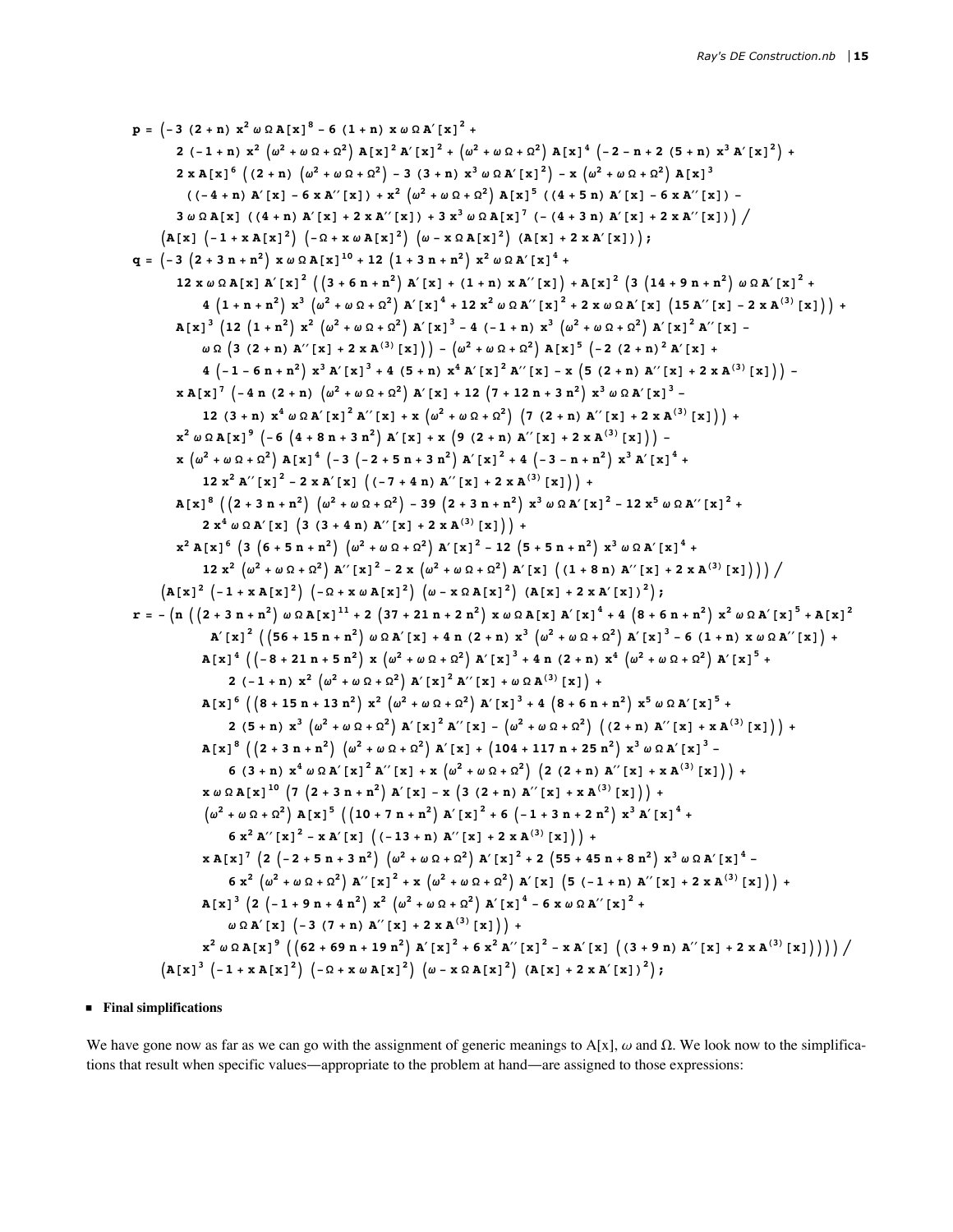$$
p = [-3 (2 + n) x2 \omega \Omega A[x]3 - 6 (1 + n) x \omega \Omega A'[x]2 +\n2 (-1 + n) x2 \omega^2 \omega^2 + \omega^2 + 6(1 + n) x2 \omega^2 \Omega^2 + 6(1 + n) x2 \omega^2 A'[x]2 +\n2 x |x|2 (2 + n) (\omega2 + \omega^2 + \omega^2 + n^2) - 3 (3 + n) x2 \omega \Omega A'[x]2 - x (\omega2 + \omega \Omega + \Omega2) A[x]2\n((-4 + n) A'[x] - 6 x A''(x)] + x2 (\omega2 + \omega \Omega A'[x]2) (4(x + 5 n) A'[x] - 6 x A''(x)])\n3  $\omega \Omega A[x] (4 + n) A'[x] + 2 x A''(x)] + 3 x2 \omega \Omega A'[x]2 + (4 + 3 n) A'[x]2 +\n12 x  $\omega \Omega X[X |X|^{2}] (4 + 6 n + n2) A'[x]2 + (4 + 3) A'[x]2 + (4 + 3) A'[x]2 +\n12 x  $\omega \Omega X[X |X|^{2}] (4 + 6 n + n2) A'[x]2 + 2 x2 \omega \Omega A'[x]2 +\n12 x  $\omega \Omega X[X |X|^{2}] (4 + 6 n + n2) A'[x]2 + 4 (4 + n) x A''(x)] + A[x]2 (3 (14 + 9 n + n2) \omega \Omega A'[x]2 +\n4 (1 + n + n2) x2 (\omega2 + \omega \Omega + \Omega2) A'[x]2 + 4 (4 + n) x A'[x]2 + 2 x A(3) [x1]) +\nA[x$$$$
$$

## $\blacksquare$  Final simplifications

We have gone now as far as we can go with the assignment of generic meanings to A[x],  $\omega$  and  $\Omega$ . We look now to the simplifications that result when specific values—appropriate to the problem at hand—are assigned to those expressions: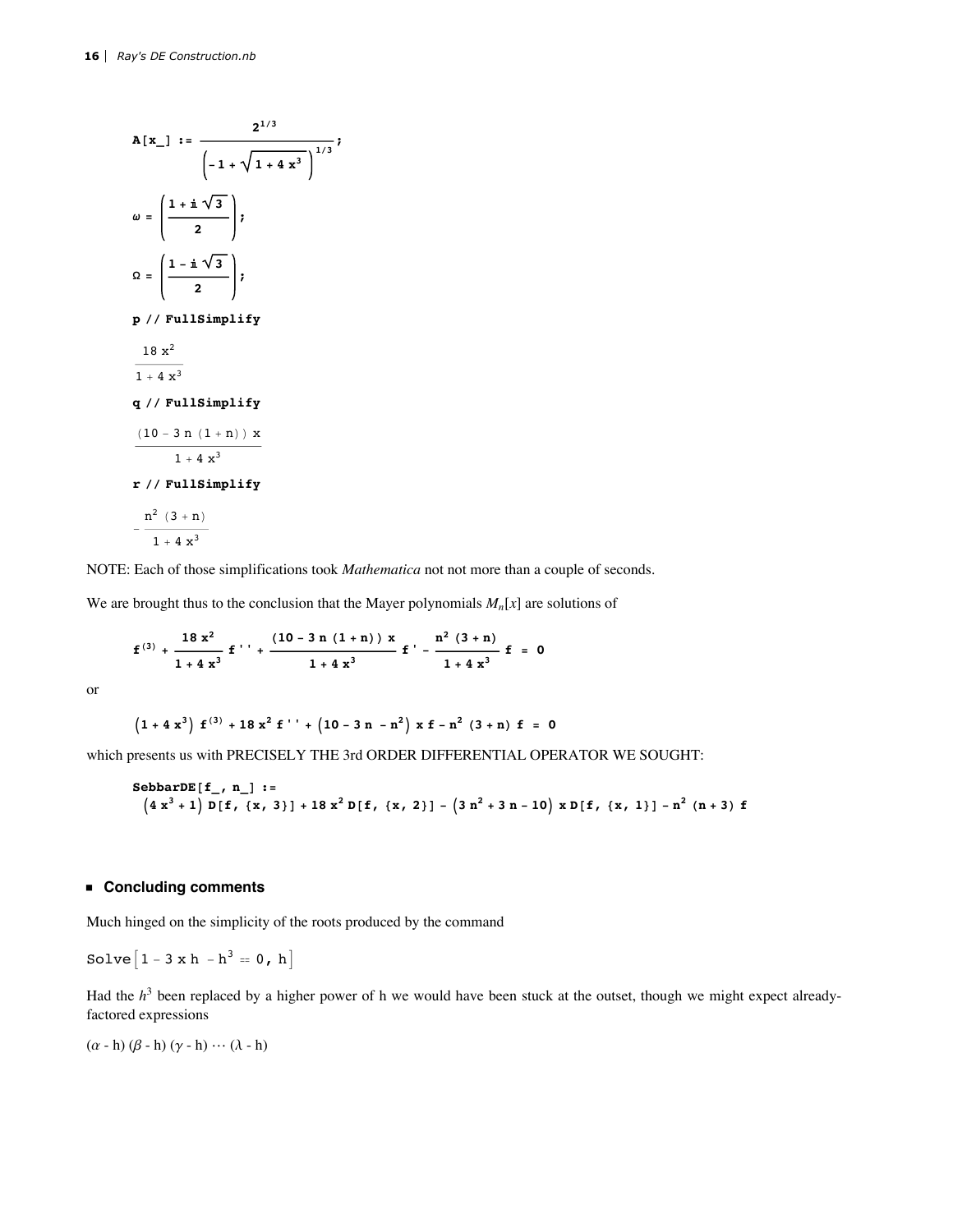$$
A[x_{-}] := \frac{2^{1/3}}{\left(-1 + \sqrt{1 + 4x^{3}}\right)^{1/3}};
$$
\n
$$
\omega = \left(\frac{1 + i\sqrt{3}}{2}\right);
$$
\n
$$
\Omega = \left(\frac{1 - i\sqrt{3}}{2}\right);
$$
\n
$$
P \text{ // FullSimplify}
$$
\n
$$
\frac{18x^{2}}{1 + 4x^{3}}
$$
\n
$$
q \text{ // FullSimplify}
$$
\n
$$
\frac{(10 - 3n(1 + n))x}{1 + 4x^{3}}
$$
\n
$$
r \text{ // FullSimplify}
$$
\n
$$
-\frac{n^{2}(3 + n)}{1 + 4x^{3}}
$$

NOTE: Each of those simplifications took *Mathematica* not not more than a couple of seconds.

We are brought thus to the conclusion that the Mayer polynomials  $M_n[x]$  are solutions of

$$
f^{(3)} + \frac{18 x^2}{1 + 4 x^3} f'' + \frac{(10 - 3 n (1 + n)) x}{1 + 4 x^3} f' - \frac{n^2 (3 + n)}{1 + 4 x^3} f = 0
$$

**or** 

$$
\left(1\,+\,4\,\,x^{\,3}\right)\,\,f^{\,(3)}\,+\,18\,\,x^{\,2}\,\,f^{\,\,\prime\,\,\prime}\,+\,\left(10\,-\,3\,\,n\,-\,n^{\,2}\right)\,x\,\,f^{\,}-\,n^{\,2}\,\left(3\,+\,n\right)\,\,f^{\,}=\,\,0
$$

which presents us with PRECISELY THE 3rd ORDER DIFFERENTIAL OPERATOR WE SOUGHT:

SebbarDE[f\_, n]  
= 
$$
(4x^3 + 1) D[f, {x, 3}] + 18x^2 D[f, {x, 2}] - (3n^2 + 3n - 10) x D[f, {x, 1}] - n^2 (n + 3) f
$$

## ■ Concluding comments

Much hinged on the simplicity of the roots produced by the command

Solve 
$$
[1 - 3 \times h - h^3 = 0, h]
$$

Had the  $h^3$  been replaced by a higher power of h we would have been stuck at the outset, though we might expect alreadyfactored expressions

 $(\alpha - h) (\beta - h) (\gamma - h) \cdots (\lambda - h)$